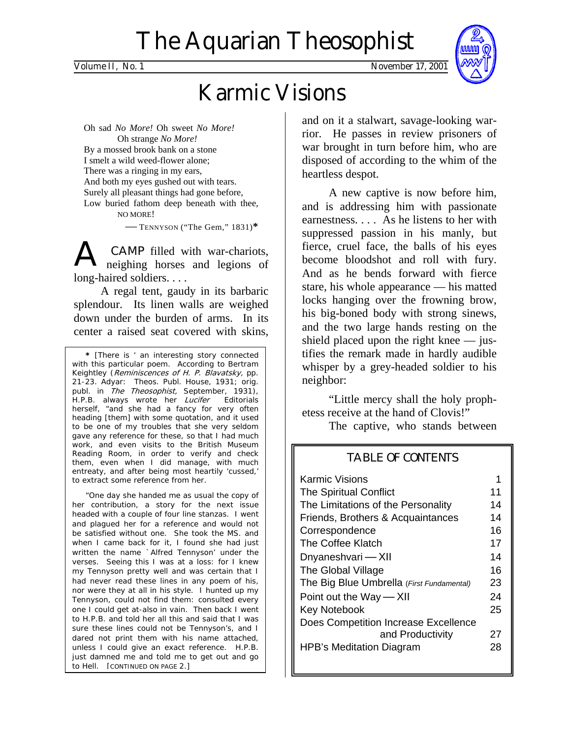# The Aquarian Theosophist

Volume II, No. 1 November 17, 2001

# Karmic Visions

Oh sad *No More!* Oh sweet *No More!* Oh strange *No More!*  By a mossed brook bank on a stone I smelt a wild weed-flower alone; There was a ringing in my ears, And both my eyes gushed out with tears. Surely all pleasant things had gone before, Low buried fathom deep beneath with thee, NO MORE!

— TENNYSON ("The Gem," 1831)**\***

*A* CAMP filled with war-chariots, neighing horses and legions of long-haired soldiers. . . .

A regal tent, gaudy in its barbaric splendour. Its linen walls are weighed down under the burden of arms. In its center a raised seat covered with skins,

\* [There is ' an interesting story connected with this particular poem. According to Bertram Keightley (Reminiscences of H. P. Blavatsky, pp. 21-23. Adyar: Theos. Publ. House, 1931; orig. publ. in *The Theosophist*, September, 1931), H.P.B. always wrote her Lucifer Editorials herself, "and she had a fancy for very often heading [them] with some quotation, and it used to be one of my troubles that she very seldom gave any reference for these, so that I had much work, and even visits to the British Museum Reading Room, in order to verify and check them, even when I did manage, with much entreaty, and after being most heartily 'cussed,' to extract some reference from her.

"One day she handed me as usual the copy of her contribution, a story for the next issue headed with a couple of four line stanzas. I went and plagued her for a reference and would not be satisfied without one. She took the MS. and when I came back for it, I found she had just written the name `Alfred Tennyson' under the verses. Seeing this I was at a loss: for I knew my Tennyson pretty well and was certain that I had never read these lines in any poem of his, nor were they at all in his style. I hunted up my Tennyson, could not find them: consulted every one I could get at-also in vain. Then back I went to H.P.B. and told her all this and said that I was sure these lines could not be Tennyson's, and I dared not print them with his name attached, unless I could give an exact reference. H.P.B. just damned me and told me to get out and go to Hell. [CONTINUED ON PAGE 2.]

and on it a stalwart, savage-looking warrior. He passes in review prisoners of war brought in turn before him, who are disposed of according to the whim of the heartless despot.

A new captive is now before him, and is addressing him with passionate earnestness. . . . As he listens to her with suppressed passion in his manly, but fierce, cruel face, the balls of his eyes become bloodshot and roll with fury. And as he bends forward with fierce stare, his whole appearance — his matted locks hanging over the frowning brow, his big-boned body with strong sinews, and the two large hands resting on the shield placed upon the right knee — justifies the remark made in hardly audible whisper by a grey-headed soldier to his neighbor:

"Little mercy shall the holy prophetess receive at the hand of Clovis!"

#### The captive, who stands between

#### TABLE OF CONTENTS

| Karmic Visions                            |    |
|-------------------------------------------|----|
| <b>The Spiritual Conflict</b>             | 11 |
| The Limitations of the Personality        | 14 |
| Friends, Brothers & Acquaintances         | 14 |
| Correspondence                            | 16 |
| The Coffee Klatch                         | 17 |
| Dnyaneshvari — XII                        | 14 |
| The Global Village                        | 16 |
| The Big Blue Umbrella (First Fundamental) | 23 |
| Point out the Way — XII                   | 24 |
| <b>Key Notebook</b>                       | 25 |
| Does Competition Increase Excellence      |    |
| and Productivity                          | 27 |
| <b>HPB's Meditation Diagram</b>           | 28 |
|                                           |    |

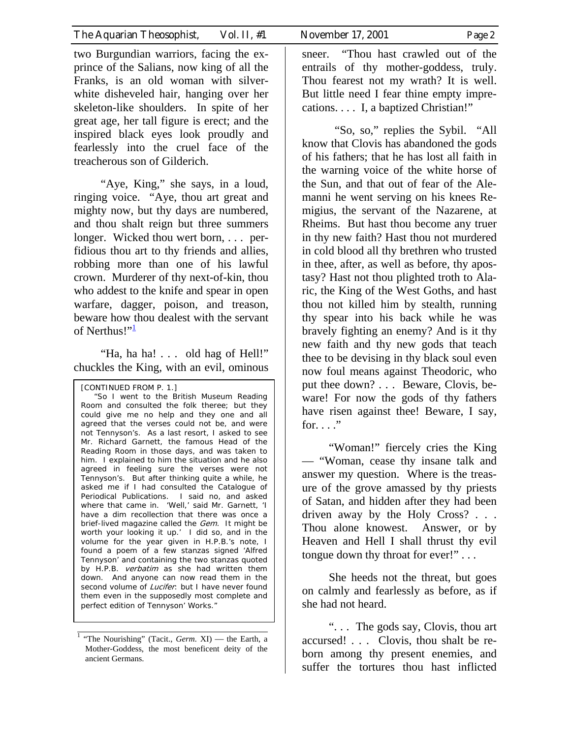two Burgundian warriors, facing the exprince of the Salians, now king of all the Franks, is an old woman with silverwhite disheveled hair, hanging over her skeleton-like shoulders. In spite of her great age, her tall figure is erect; and the inspired black eyes look proudly and fearlessly into the cruel face of the treacherous son of Gilderich.

"Aye, King," she says, in a loud, ringing voice. "Aye, thou art great and mighty now, but thy days are numbered, and thou shalt reign but three summers longer. Wicked thou wert born, . . . perfidious thou art to thy friends and allies, robbing more than one of his lawful crown. Murderer of thy next-of-kin, thou who addest to the knife and spear in open warfare, dagger, poison, and treason, beware how thou dealest with the servant of Nerthus!"<sup>[1](http://www.blavatsky.net/blavatsky/arts/)</sup>

"Ha, ha ha! . . . old hag of Hell!" chuckles the King, with an evil, ominous

[CONTINUED FROM P. 1.]

"So I went to the British Museum Reading Room and consulted the folk theree; but they could give me no help and they one and all agreed that the verses could not be, and were not Tennyson's. As a last resort, I asked to see Mr. Richard Garnett, the famous Head of the Reading Room in those days, and was taken to him. I explained to him the situation and he also agreed in feeling sure the verses were not Tennyson's. But after thinking quite a while, he asked me if I had consulted the Catalogue of Periodical Publications. I said no, and asked where that came in. 'Well,' said Mr. Garnett, 'I have a dim recollection that there was once a brief-lived magazine called the Gem. It might be worth your looking it up.' I did so, and in the volume for the year given in H.P.B.'s note, I found a poem of a few stanzas signed 'Alfred Tennyson' and containing the two stanzas quoted by H.P.B. verbatim as she had written them down. And anyone can now read them in the second volume of Lucifer: but I have never found them even in the supposedly most complete and perfect edition of Tennyson' Works."

sneer. "Thou hast crawled out of the entrails of thy mother-goddess, truly. Thou fearest not my wrath? It is well. But little need I fear thine empty imprecations. . . . I, a baptized Christian!"

"So, so," replies the Sybil. "All know that Clovis has abandoned the gods of his fathers; that he has lost all faith in the warning voice of the white horse of the Sun, and that out of fear of the Alemanni he went serving on his knees Remigius, the servant of the Nazarene, at Rheims. But hast thou become any truer in thy new faith? Hast thou not murdered in cold blood all thy brethren who trusted in thee, after, as well as before, thy apostasy? Hast not thou plighted troth to Alaric, the King of the West Goths, and hast thou not killed him by stealth, running thy spear into his back while he was bravely fighting an enemy? And is it thy new faith and thy new gods that teach thee to be devising in thy black soul even now foul means against Theodoric, who put thee down? . . . Beware, Clovis, beware! For now the gods of thy fathers have risen against thee! Beware, I say, for.  $\ldots$ ."

"Woman!" fiercely cries the King — "Woman, cease thy insane talk and answer my question. Where is the treasure of the grove amassed by thy priests of Satan, and hidden after they had been driven away by the Holy Cross? . . . Thou alone knowest. Answer, or by Heaven and Hell I shall thrust thy evil tongue down thy throat for ever!" . . .

She heeds not the threat, but goes on calmly and fearlessly as before, as if she had not heard.

". . . The gods say, Clovis, thou art accursed! . . . Clovis, thou shalt be reborn among thy present enemies, and suffer the tortures thou hast inflicted

<sup>&</sup>lt;sup>1</sup> "The Nourishing" (Tacit., *Germ.* XI) — the Earth, a Mother-Goddess, the most beneficent deity of the ancient Germans.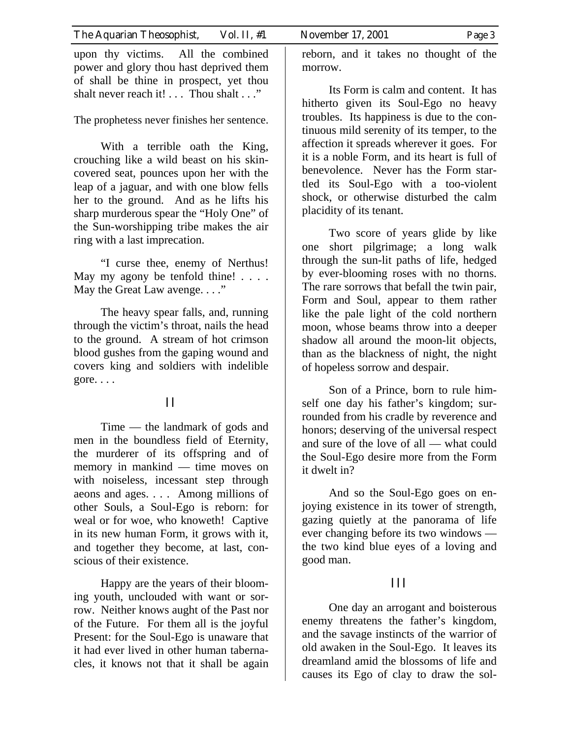The prophetess never finishes her sentence.

With a terrible oath the King, crouching like a wild beast on his skincovered seat, pounces upon her with the leap of a jaguar, and with one blow fells her to the ground. And as he lifts his sharp murderous spear the "Holy One" of the Sun-worshipping tribe makes the air ring with a last imprecation.

"I curse thee, enemy of Nerthus! May my agony be tenfold thine! . . . . May the Great Law avenge. . . ."

The heavy spear falls, and, running through the victim's throat, nails the head to the ground. A stream of hot crimson blood gushes from the gaping wound and covers king and soldiers with indelible gore $\ldots$ .

#### II

Time — the landmark of gods and men in the boundless field of Eternity, the murderer of its offspring and of memory in mankind — time moves on with noiseless, incessant step through aeons and ages. . . . Among millions of other Souls, a Soul-Ego is reborn: for weal or for woe, who knoweth! Captive in its new human Form, it grows with it, and together they become, at last, conscious of their existence.

Happy are the years of their blooming youth, unclouded with want or sorrow. Neither knows aught of the Past nor of the Future. For them all is the joyful Present: for the Soul-Ego is unaware that it had ever lived in other human tabernacles, it knows not that it shall be again

reborn, and it takes no thought of the morrow.

Its Form is calm and content. It has hitherto given its Soul-Ego no heavy troubles. Its happiness is due to the continuous mild serenity of its temper, to the affection it spreads wherever it goes. For it is a noble Form, and its heart is full of benevolence. Never has the Form startled its Soul-Ego with a too-violent shock, or otherwise disturbed the calm placidity of its tenant.

Two score of years glide by like one short pilgrimage; a long walk through the sun-lit paths of life, hedged by ever-blooming roses with no thorns. The rare sorrows that befall the twin pair, Form and Soul, appear to them rather like the pale light of the cold northern moon, whose beams throw into a deeper shadow all around the moon-lit objects, than as the blackness of night, the night of hopeless sorrow and despair.

Son of a Prince, born to rule himself one day his father's kingdom; surrounded from his cradle by reverence and honors; deserving of the universal respect and sure of the love of all — what could the Soul-Ego desire more from the Form it dwelt in?

And so the Soul-Ego goes on enjoying existence in its tower of strength, gazing quietly at the panorama of life ever changing before its two windows the two kind blue eyes of a loving and good man.

#### III

One day an arrogant and boisterous enemy threatens the father's kingdom, and the savage instincts of the warrior of old awaken in the Soul-Ego. It leaves its dreamland amid the blossoms of life and causes its Ego of clay to draw the sol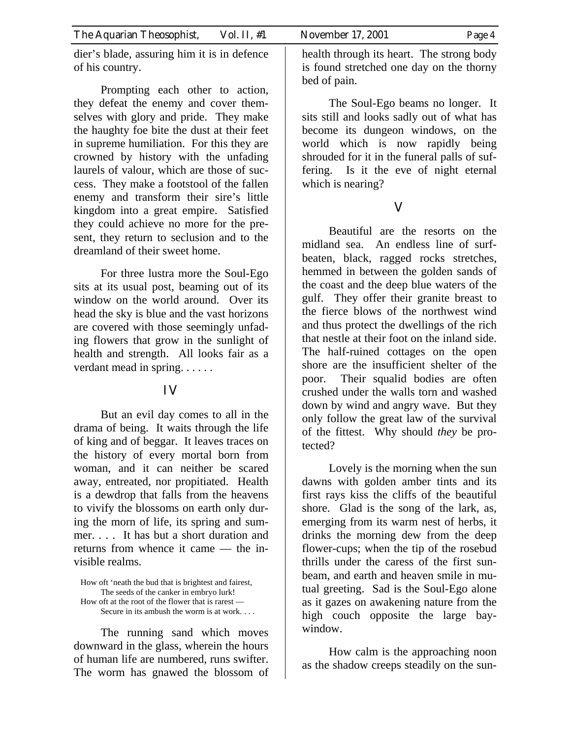dier's blade, assuring him it is in defence of his country.

Prompting each other to action, they defeat the enemy and cover themselves with glory and pride. They make the haughty foe bite the dust at their feet in supreme humiliation. For this they are crowned by history with the unfading laurels of valour, which are those of success. They make a footstool of the fallen enemy and transform their sire's little kingdom into a great empire. Satisfied they could achieve no more for the present, they return to seclusion and to the dreamland of their sweet home.

For three lustra more the Soul-Ego sits at its usual post, beaming out of its window on the world around. Over its head the sky is blue and the vast horizons are covered with those seemingly unfading flowers that grow in the sunlight of health and strength. All looks fair as a verdant mead in spring. . . . . .

#### IV

But an evil day comes to all in the drama of being. It waits through the life of king and of beggar. It leaves traces on the history of every mortal born from woman, and it can neither be scared away, entreated, nor propitiated. Health is a dewdrop that falls from the heavens to vivify the blossoms on earth only during the morn of life, its spring and summer. . . . It has but a short duration and returns from whence it came — the invisible realms.

How oft 'neath the bud that is brightest and fairest, The seeds of the canker in embryo lurk! How oft at the root of the flower that is rarest — Secure in its ambush the worm is at work. . . .

The running sand which moves downward in the glass, wherein the hours of human life are numbered, runs swifter. The worm has gnawed the blossom of health through its heart. The strong body is found stretched one day on the thorny bed of pain.

The Soul-Ego beams no longer. It sits still and looks sadly out of what has become its dungeon windows, on the world which is now rapidly being shrouded for it in the funeral palls of suffering. Is it the eve of night eternal which is nearing?

#### $\overline{V}$

Beautiful are the resorts on the midland sea. An endless line of surfbeaten, black, ragged rocks stretches, hemmed in between the golden sands of the coast and the deep blue waters of the gulf. They offer their granite breast to the fierce blows of the northwest wind and thus protect the dwellings of the rich that nestle at their foot on the inland side. The half-ruined cottages on the open shore are the insufficient shelter of the poor. Their squalid bodies are often crushed under the walls torn and washed down by wind and angry wave. But they only follow the great law of the survival of the fittest. Why should *they* be protected?

Lovely is the morning when the sun dawns with golden amber tints and its first rays kiss the cliffs of the beautiful shore. Glad is the song of the lark, as, emerging from its warm nest of herbs, it drinks the morning dew from the deep flower-cups; when the tip of the rosebud thrills under the caress of the first sunbeam, and earth and heaven smile in mutual greeting. Sad is the Soul-Ego alone as it gazes on awakening nature from the high couch opposite the large baywindow.

How calm is the approaching noon as the shadow creeps steadily on the sun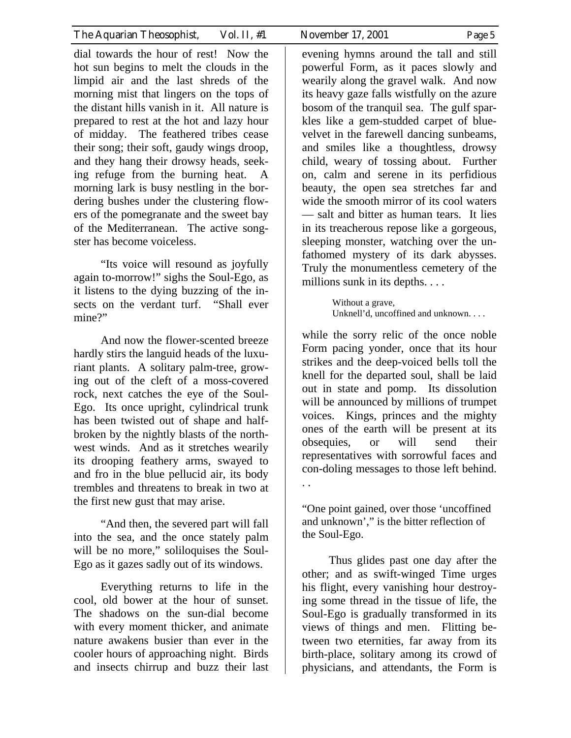dial towards the hour of rest! Now the hot sun begins to melt the clouds in the limpid air and the last shreds of the morning mist that lingers on the tops of the distant hills vanish in it. All nature is prepared to rest at the hot and lazy hour of midday. The feathered tribes cease their song; their soft, gaudy wings droop, and they hang their drowsy heads, seeking refuge from the burning heat. A morning lark is busy nestling in the bordering bushes under the clustering flowers of the pomegranate and the sweet bay of the Mediterranean. The active songster has become voiceless.

"Its voice will resound as joyfully again to-morrow!" sighs the Soul-Ego, as it listens to the dying buzzing of the insects on the verdant turf. "Shall ever mine?"

And now the flower-scented breeze hardly stirs the languid heads of the luxuriant plants. A solitary palm-tree, growing out of the cleft of a moss-covered rock, next catches the eye of the Soul-Ego. Its once upright, cylindrical trunk has been twisted out of shape and halfbroken by the nightly blasts of the northwest winds. And as it stretches wearily its drooping feathery arms, swayed to and fro in the blue pellucid air, its body trembles and threatens to break in two at the first new gust that may arise.

"And then, the severed part will fall into the sea, and the once stately palm will be no more," soliloquises the Soul-Ego as it gazes sadly out of its windows.

Everything returns to life in the cool, old bower at the hour of sunset. The shadows on the sun-dial become with every moment thicker, and animate nature awakens busier than ever in the cooler hours of approaching night. Birds and insects chirrup and buzz their last evening hymns around the tall and still powerful Form, as it paces slowly and wearily along the gravel walk. And now its heavy gaze falls wistfully on the azure bosom of the tranquil sea. The gulf sparkles like a gem-studded carpet of bluevelvet in the farewell dancing sunbeams, and smiles like a thoughtless, drowsy child, weary of tossing about. Further on, calm and serene in its perfidious beauty, the open sea stretches far and wide the smooth mirror of its cool waters — salt and bitter as human tears. It lies in its treacherous repose like a gorgeous, sleeping monster, watching over the unfathomed mystery of its dark abysses. Truly the monumentless cemetery of the millions sunk in its depths. . . .

> Without a grave, Unknell'd, uncoffined and unknown. . . .

while the sorry relic of the once noble Form pacing yonder, once that its hour strikes and the deep-voiced bells toll the knell for the departed soul, shall be laid out in state and pomp. Its dissolution will be announced by millions of trumpet voices. Kings, princes and the mighty ones of the earth will be present at its obsequies, or will send their representatives with sorrowful faces and con-doling messages to those left behind. . .

"One point gained, over those 'uncoffined and unknown'," is the bitter reflection of the Soul-Ego.

Thus glides past one day after the other; and as swift-winged Time urges his flight, every vanishing hour destroying some thread in the tissue of life, the Soul-Ego is gradually transformed in its views of things and men. Flitting between two eternities, far away from its birth-place, solitary among its crowd of physicians, and attendants, the Form is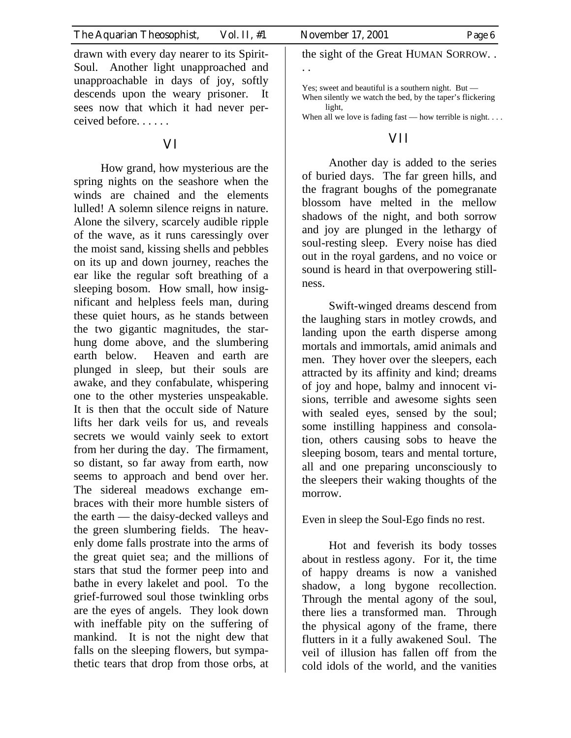drawn with every day nearer to its Spirit-Soul. Another light unapproached and unapproachable in days of joy, softly descends upon the weary prisoner. It sees now that which it had never perceived before. . . . . .

#### VI

How grand, how mysterious are the spring nights on the seashore when the winds are chained and the elements lulled! A solemn silence reigns in nature. Alone the silvery, scarcely audible ripple of the wave, as it runs caressingly over the moist sand, kissing shells and pebbles on its up and down journey, reaches the ear like the regular soft breathing of a sleeping bosom. How small, how insignificant and helpless feels man, during these quiet hours, as he stands between the two gigantic magnitudes, the starhung dome above, and the slumbering earth below. Heaven and earth are plunged in sleep, but their souls are awake, and they confabulate, whispering one to the other mysteries unspeakable. It is then that the occult side of Nature lifts her dark veils for us, and reveals secrets we would vainly seek to extort from her during the day. The firmament, so distant, so far away from earth, now seems to approach and bend over her. The sidereal meadows exchange embraces with their more humble sisters of the earth — the daisy-decked valleys and the green slumbering fields. The heavenly dome falls prostrate into the arms of the great quiet sea; and the millions of stars that stud the former peep into and bathe in every lakelet and pool. To the grief-furrowed soul those twinkling orbs are the eyes of angels. They look down with ineffable pity on the suffering of mankind. It is not the night dew that falls on the sleeping flowers, but sympathetic tears that drop from those orbs, at

. .

the sight of the Great HUMAN SORROW. .

Yes; sweet and beautiful is a southern night. But — When silently we watch the bed, by the taper's flickering light,

When all we love is fading fast — how terrible is night. . . .

#### VII

Another day is added to the series of buried days. The far green hills, and the fragrant boughs of the pomegranate blossom have melted in the mellow shadows of the night, and both sorrow and joy are plunged in the lethargy of soul-resting sleep. Every noise has died out in the royal gardens, and no voice or sound is heard in that overpowering stillness.

Swift-winged dreams descend from the laughing stars in motley crowds, and landing upon the earth disperse among mortals and immortals, amid animals and men. They hover over the sleepers, each attracted by its affinity and kind; dreams of joy and hope, balmy and innocent visions, terrible and awesome sights seen with sealed eyes, sensed by the soul; some instilling happiness and consolation, others causing sobs to heave the sleeping bosom, tears and mental torture, all and one preparing unconsciously to the sleepers their waking thoughts of the morrow.

Even in sleep the Soul-Ego finds no rest.

Hot and feverish its body tosses about in restless agony. For it, the time of happy dreams is now a vanished shadow, a long bygone recollection. Through the mental agony of the soul, there lies a transformed man. Through the physical agony of the frame, there flutters in it a fully awakened Soul. The veil of illusion has fallen off from the cold idols of the world, and the vanities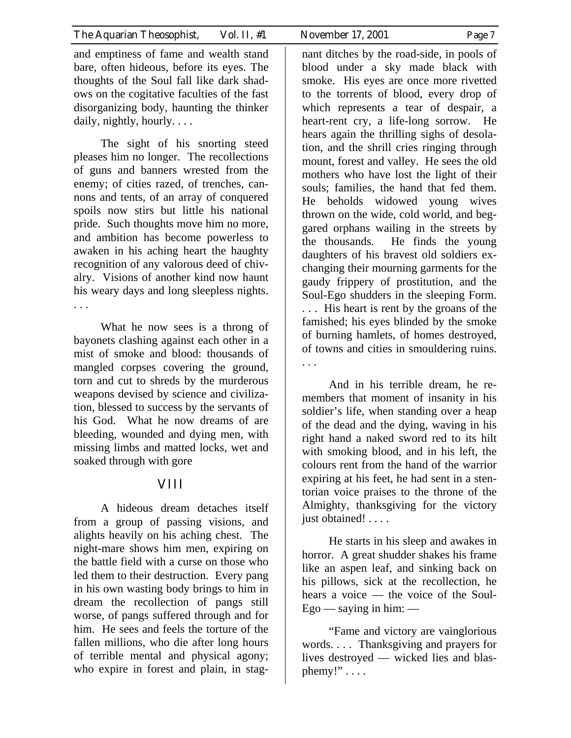and emptiness of fame and wealth stand bare, often hideous, before its eyes. The thoughts of the Soul fall like dark shadows on the cogitative faculties of the fast disorganizing body, haunting the thinker daily, nightly, hourly....

The sight of his snorting steed pleases him no longer. The recollections of guns and banners wrested from the enemy; of cities razed, of trenches, cannons and tents, of an array of conquered spoils now stirs but little his national pride. Such thoughts move him no more, and ambition has become powerless to awaken in his aching heart the haughty recognition of any valorous deed of chivalry. Visions of another kind now haunt his weary days and long sleepless nights. . . .

What he now sees is a throng of bayonets clashing against each other in a mist of smoke and blood: thousands of mangled corpses covering the ground, torn and cut to shreds by the murderous weapons devised by science and civilization, blessed to success by the servants of his God. What he now dreams of are bleeding, wounded and dying men, with missing limbs and matted locks, wet and soaked through with gore

#### VIII

A hideous dream detaches itself from a group of passing visions, and alights heavily on his aching chest. The night-mare shows him men, expiring on the battle field with a curse on those who led them to their destruction. Every pang in his own wasting body brings to him in dream the recollection of pangs still worse, of pangs suffered through and for him. He sees and feels the torture of the fallen millions, who die after long hours of terrible mental and physical agony; who expire in forest and plain, in stagnant ditches by the road-side, in pools of blood under a sky made black with smoke. His eyes are once more rivetted to the torrents of blood, every drop of which represents a tear of despair, a heart-rent cry, a life-long sorrow. He hears again the thrilling sighs of desolation, and the shrill cries ringing through mount, forest and valley. He sees the old mothers who have lost the light of their souls; families, the hand that fed them. He beholds widowed young wives thrown on the wide, cold world, and beggared orphans wailing in the streets by the thousands. He finds the young daughters of his bravest old soldiers exchanging their mourning garments for the gaudy frippery of prostitution, and the Soul-Ego shudders in the sleeping Form. . . . His heart is rent by the groans of the famished; his eyes blinded by the smoke of burning hamlets, of homes destroyed, of towns and cities in smouldering ruins. . . .

And in his terrible dream, he remembers that moment of insanity in his soldier's life, when standing over a heap of the dead and the dying, waving in his right hand a naked sword red to its hilt with smoking blood, and in his left, the colours rent from the hand of the warrior expiring at his feet, he had sent in a stentorian voice praises to the throne of the Almighty, thanksgiving for the victory just obtained! . . . .

He starts in his sleep and awakes in horror. A great shudder shakes his frame like an aspen leaf, and sinking back on his pillows, sick at the recollection, he hears a voice — the voice of the Soul- $Ego$  — saying in him: —

"Fame and victory are vainglorious words. . . . Thanksgiving and prayers for lives destroyed — wicked lies and blasphemy!" $\dots$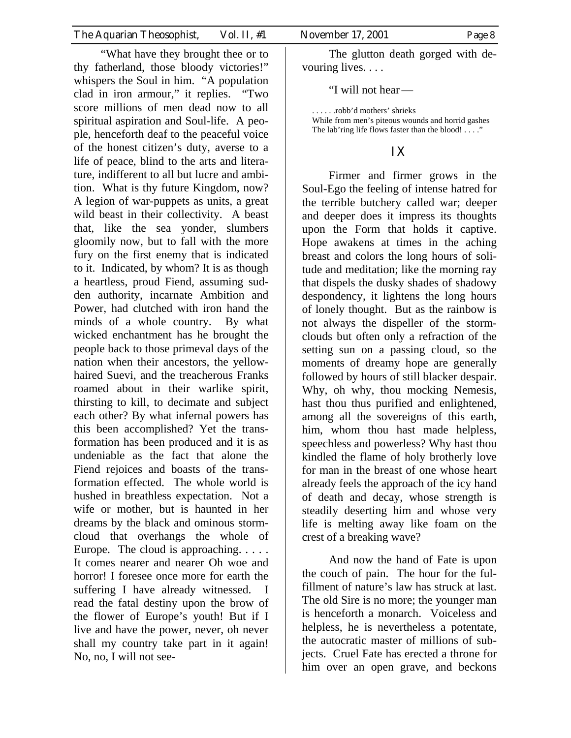"What have they brought thee or to thy fatherland, those bloody victories!" whispers the Soul in him. "A population clad in iron armour," it replies. "Two score millions of men dead now to all spiritual aspiration and Soul-life. A people, henceforth deaf to the peaceful voice of the honest citizen's duty, averse to a life of peace, blind to the arts and literature, indifferent to all but lucre and ambition. What is thy future Kingdom, now? A legion of war-puppets as units, a great wild beast in their collectivity. A beast that, like the sea yonder, slumbers gloomily now, but to fall with the more fury on the first enemy that is indicated to it. Indicated, by whom? It is as though a heartless, proud Fiend, assuming sudden authority, incarnate Ambition and Power, had clutched with iron hand the minds of a whole country. By what wicked enchantment has he brought the people back to those primeval days of the nation when their ancestors, the yellowhaired Suevi, and the treacherous Franks roamed about in their warlike spirit, thirsting to kill, to decimate and subject each other? By what infernal powers has this been accomplished? Yet the transformation has been produced and it is as undeniable as the fact that alone the Fiend rejoices and boasts of the transformation effected. The whole world is hushed in breathless expectation. Not a wife or mother, but is haunted in her dreams by the black and ominous stormcloud that overhangs the whole of Europe. The cloud is approaching. . . . . It comes nearer and nearer Oh woe and horror! I foresee once more for earth the suffering I have already witnessed. I read the fatal destiny upon the brow of the flower of Europe's youth! But if I live and have the power, never, oh never shall my country take part in it again! No, no, I will not see-

The glutton death gorged with devouring lives. . . .

"I will not hear—

. . . . . .robb'd mothers' shrieks While from men's piteous wounds and horrid gashes The lab'ring life flows faster than the blood! . . . ."

#### $IX$

Firmer and firmer grows in the Soul-Ego the feeling of intense hatred for the terrible butchery called war; deeper and deeper does it impress its thoughts upon the Form that holds it captive. Hope awakens at times in the aching breast and colors the long hours of solitude and meditation; like the morning ray that dispels the dusky shades of shadowy despondency, it lightens the long hours of lonely thought. But as the rainbow is not always the dispeller of the stormclouds but often only a refraction of the setting sun on a passing cloud, so the moments of dreamy hope are generally followed by hours of still blacker despair. Why, oh why, thou mocking Nemesis, hast thou thus purified and enlightened, among all the sovereigns of this earth, him, whom thou hast made helpless, speechless and powerless? Why hast thou kindled the flame of holy brotherly love for man in the breast of one whose heart already feels the approach of the icy hand of death and decay, whose strength is steadily deserting him and whose very life is melting away like foam on the crest of a breaking wave?

And now the hand of Fate is upon the couch of pain. The hour for the fulfillment of nature's law has struck at last. The old Sire is no more; the younger man is henceforth a monarch. Voiceless and helpless, he is nevertheless a potentate, the autocratic master of millions of subjects. Cruel Fate has erected a throne for him over an open grave, and beckons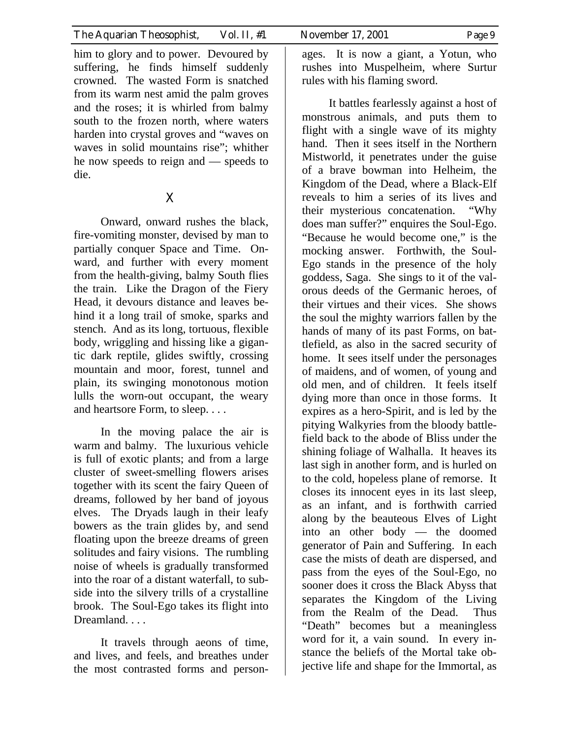him to glory and to power. Devoured by suffering, he finds himself suddenly crowned. The wasted Form is snatched from its warm nest amid the palm groves and the roses; it is whirled from balmy south to the frozen north, where waters harden into crystal groves and "waves on waves in solid mountains rise"; whither he now speeds to reign and — speeds to die.

### X

Onward, onward rushes the black, fire-vomiting monster, devised by man to partially conquer Space and Time. Onward, and further with every moment from the health-giving, balmy South flies the train. Like the Dragon of the Fiery Head, it devours distance and leaves behind it a long trail of smoke, sparks and stench. And as its long, tortuous, flexible body, wriggling and hissing like a gigantic dark reptile, glides swiftly, crossing mountain and moor, forest, tunnel and plain, its swinging monotonous motion lulls the worn-out occupant, the weary and heartsore Form, to sleep. . . .

In the moving palace the air is warm and balmy. The luxurious vehicle is full of exotic plants; and from a large cluster of sweet-smelling flowers arises together with its scent the fairy Queen of dreams, followed by her band of joyous elves. The Dryads laugh in their leafy bowers as the train glides by, and send floating upon the breeze dreams of green solitudes and fairy visions. The rumbling noise of wheels is gradually transformed into the roar of a distant waterfall, to subside into the silvery trills of a crystalline brook. The Soul-Ego takes its flight into Dreamland. . . .

It travels through aeons of time, and lives, and feels, and breathes under the most contrasted forms and personages. It is now a giant, a Yotun, who rushes into Muspelheim, where Surtur rules with his flaming sword.

It battles fearlessly against a host of monstrous animals, and puts them to flight with a single wave of its mighty hand. Then it sees itself in the Northern Mistworld, it penetrates under the guise of a brave bowman into Helheim, the Kingdom of the Dead, where a Black-Elf reveals to him a series of its lives and their mysterious concatenation. "Why does man suffer?" enquires the Soul-Ego. "Because he would become one," is the mocking answer. Forthwith, the Soul-Ego stands in the presence of the holy goddess, Saga. She sings to it of the valorous deeds of the Germanic heroes, of their virtues and their vices. She shows the soul the mighty warriors fallen by the hands of many of its past Forms, on battlefield, as also in the sacred security of home. It sees itself under the personages of maidens, and of women, of young and old men, and of children. It feels itself dying more than once in those forms. It expires as a hero-Spirit, and is led by the pitying Walkyries from the bloody battlefield back to the abode of Bliss under the shining foliage of Walhalla. It heaves its last sigh in another form, and is hurled on to the cold, hopeless plane of remorse. It closes its innocent eyes in its last sleep, as an infant, and is forthwith carried along by the beauteous Elves of Light into an other body — the doomed generator of Pain and Suffering. In each case the mists of death are dispersed, and pass from the eyes of the Soul-Ego, no sooner does it cross the Black Abyss that separates the Kingdom of the Living from the Realm of the Dead. Thus "Death" becomes but a meaningless word for it, a vain sound. In every instance the beliefs of the Mortal take objective life and shape for the Immortal, as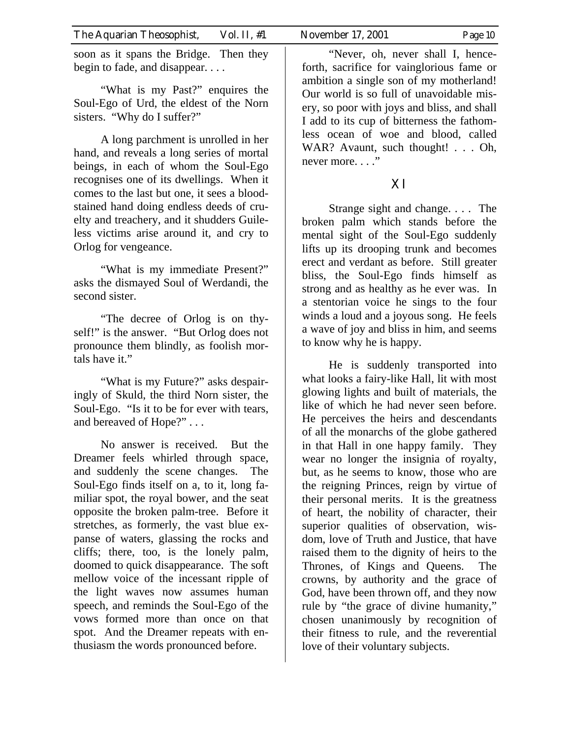soon as it spans the Bridge. Then they begin to fade, and disappear. . . .

"What is my Past?" enquires the Soul-Ego of Urd, the eldest of the Norn sisters. "Why do I suffer?"

A long parchment is unrolled in her hand, and reveals a long series of mortal beings, in each of whom the Soul-Ego recognises one of its dwellings. When it comes to the last but one, it sees a bloodstained hand doing endless deeds of cruelty and treachery, and it shudders Guileless victims arise around it, and cry to Orlog for vengeance.

"What is my immediate Present?" asks the dismayed Soul of Werdandi, the second sister.

"The decree of Orlog is on thyself!" is the answer. "But Orlog does not pronounce them blindly, as foolish mortals have it."

"What is my Future?" asks despairingly of Skuld, the third Norn sister, the Soul-Ego. "Is it to be for ever with tears, and bereaved of Hope?" . . .

No answer is received. But the Dreamer feels whirled through space, and suddenly the scene changes. The Soul-Ego finds itself on a, to it, long familiar spot, the royal bower, and the seat opposite the broken palm-tree. Before it stretches, as formerly, the vast blue expanse of waters, glassing the rocks and cliffs; there, too, is the lonely palm, doomed to quick disappearance. The soft mellow voice of the incessant ripple of the light waves now assumes human speech, and reminds the Soul-Ego of the vows formed more than once on that spot. And the Dreamer repeats with enthusiasm the words pronounced before.

"Never, oh, never shall I, henceforth, sacrifice for vainglorious fame or ambition a single son of my motherland! Our world is so full of unavoidable misery, so poor with joys and bliss, and shall I add to its cup of bitterness the fathomless ocean of woe and blood, called WAR? Avaunt, such thought! . . . Oh, never more...."

#### XI

Strange sight and change. . . . The broken palm which stands before the mental sight of the Soul-Ego suddenly lifts up its drooping trunk and becomes erect and verdant as before. Still greater bliss, the Soul-Ego finds himself as strong and as healthy as he ever was. In a stentorian voice he sings to the four winds a loud and a joyous song. He feels a wave of joy and bliss in him, and seems to know why he is happy.

He is suddenly transported into what looks a fairy-like Hall, lit with most glowing lights and built of materials, the like of which he had never seen before. He perceives the heirs and descendants of all the monarchs of the globe gathered in that Hall in one happy family. They wear no longer the insignia of royalty, but, as he seems to know, those who are the reigning Princes, reign by virtue of their personal merits. It is the greatness of heart, the nobility of character, their superior qualities of observation, wisdom, love of Truth and Justice, that have raised them to the dignity of heirs to the Thrones, of Kings and Queens. The crowns, by authority and the grace of God, have been thrown off, and they now rule by "the grace of divine humanity," chosen unanimously by recognition of their fitness to rule, and the reverential love of their voluntary subjects.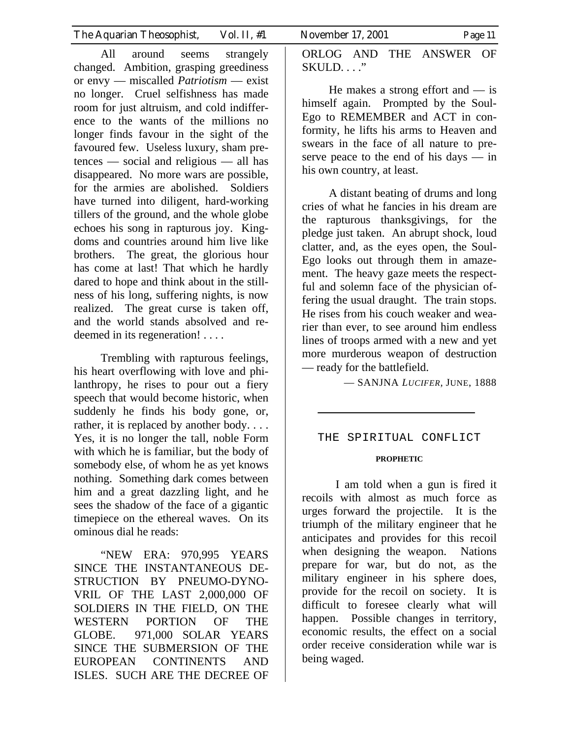All around seems strangely changed. Ambition, grasping greediness or envy — miscalled *Patriotism* — exist no longer. Cruel selfishness has made room for just altruism, and cold indifference to the wants of the millions no longer finds favour in the sight of the favoured few. Useless luxury, sham pretences — social and religious — all has disappeared. No more wars are possible, for the armies are abolished. Soldiers have turned into diligent, hard-working tillers of the ground, and the whole globe echoes his song in rapturous joy. Kingdoms and countries around him live like brothers. The great, the glorious hour has come at last! That which he hardly dared to hope and think about in the stillness of his long, suffering nights, is now realized. The great curse is taken off, and the world stands absolved and redeemed in its regeneration! . . . .

Trembling with rapturous feelings, his heart overflowing with love and philanthropy, he rises to pour out a fiery speech that would become historic, when suddenly he finds his body gone, or, rather, it is replaced by another body. . . . Yes, it is no longer the tall, noble Form with which he is familiar, but the body of somebody else, of whom he as yet knows nothing. Something dark comes between him and a great dazzling light, and he sees the shadow of the face of a gigantic timepiece on the ethereal waves. On its ominous dial he reads:

"NEW ERA: 970,995 YEARS SINCE THE INSTANTANEOUS DE-STRUCTION BY PNEUMO-DYNO-VRIL OF THE LAST 2,000,000 OF SOLDIERS IN THE FIELD, ON THE WESTERN PORTION OF THE GLOBE. 971,000 SOLAR YEARS SINCE THE SUBMERSION OF THE EUROPEAN CONTINENTS AND ISLES. SUCH ARE THE DECREE OF

ORLOG AND THE ANSWER OF SKULD...."

He makes a strong effort and — is himself again. Prompted by the Soul-Ego to REMEMBER and ACT in conformity, he lifts his arms to Heaven and swears in the face of all nature to preserve peace to the end of his days — in his own country, at least.

A distant beating of drums and long cries of what he fancies in his dream are the rapturous thanksgivings, for the pledge just taken. An abrupt shock, loud clatter, and, as the eyes open, the Soul-Ego looks out through them in amazement. The heavy gaze meets the respectful and solemn face of the physician offering the usual draught. The train stops. He rises from his couch weaker and wearier than ever, to see around him endless lines of troops armed with a new and yet more murderous weapon of destruction — ready for the battlefield.

— SANJNA *LUCIFER,* JUNE, 1888

#### THE SPIRITUAL CONFLICT

#### **PROPHETIC**

I am told when a gun is fired it recoils with almost as much force as urges forward the projectile. It is the triumph of the military engineer that he anticipates and provides for this recoil when designing the weapon. Nations prepare for war, but do not, as the military engineer in his sphere does, provide for the recoil on society. It is difficult to foresee clearly what will happen. Possible changes in territory, economic results, the effect on a social order receive consideration while war is being waged.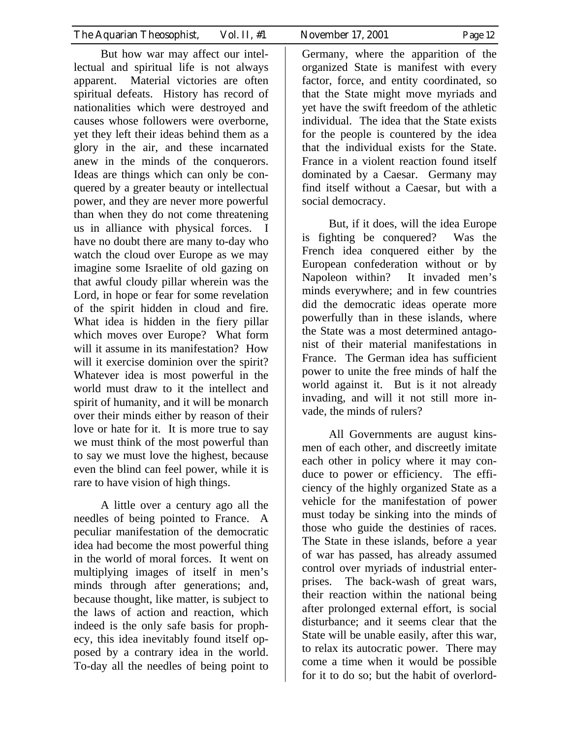But how war may affect our intellectual and spiritual life is not always apparent. Material victories are often spiritual defeats. History has record of nationalities which were destroyed and causes whose followers were overborne, yet they left their ideas behind them as a glory in the air, and these incarnated anew in the minds of the conquerors. Ideas are things which can only be conquered by a greater beauty or intellectual power, and they are never more powerful than when they do not come threatening us in alliance with physical forces. I have no doubt there are many to-day who watch the cloud over Europe as we may imagine some Israelite of old gazing on that awful cloudy pillar wherein was the Lord, in hope or fear for some revelation of the spirit hidden in cloud and fire. What idea is hidden in the fiery pillar which moves over Europe? What form will it assume in its manifestation? How will it exercise dominion over the spirit? Whatever idea is most powerful in the world must draw to it the intellect and spirit of humanity, and it will be monarch over their minds either by reason of their love or hate for it. It is more true to say we must think of the most powerful than to say we must love the highest, because even the blind can feel power, while it is rare to have vision of high things.

A little over a century ago all the needles of being pointed to France. A peculiar manifestation of the democratic idea had become the most powerful thing in the world of moral forces. It went on multiplying images of itself in men's minds through after generations; and, because thought, like matter, is subject to the laws of action and reaction, which indeed is the only safe basis for prophecy, this idea inevitably found itself opposed by a contrary idea in the world. To-day all the needles of being point to

Germany, where the apparition of the organized State is manifest with every factor, force, and entity coordinated, so that the State might move myriads and yet have the swift freedom of the athletic individual. The idea that the State exists for the people is countered by the idea that the individual exists for the State. France in a violent reaction found itself dominated by a Caesar. Germany may find itself without a Caesar, but with a social democracy.

But, if it does, will the idea Europe is fighting be conquered? Was the French idea conquered either by the European confederation without or by Napoleon within? It invaded men's minds everywhere; and in few countries did the democratic ideas operate more powerfully than in these islands, where the State was a most determined antagonist of their material manifestations in France. The German idea has sufficient power to unite the free minds of half the world against it. But is it not already invading, and will it not still more invade, the minds of rulers?

All Governments are august kinsmen of each other, and discreetly imitate each other in policy where it may conduce to power or efficiency. The efficiency of the highly organized State as a vehicle for the manifestation of power must today be sinking into the minds of those who guide the destinies of races. The State in these islands, before a year of war has passed, has already assumed control over myriads of industrial enterprises. The back-wash of great wars, their reaction within the national being after prolonged external effort, is social disturbance; and it seems clear that the State will be unable easily, after this war, to relax its autocratic power. There may come a time when it would be possible for it to do so; but the habit of overlord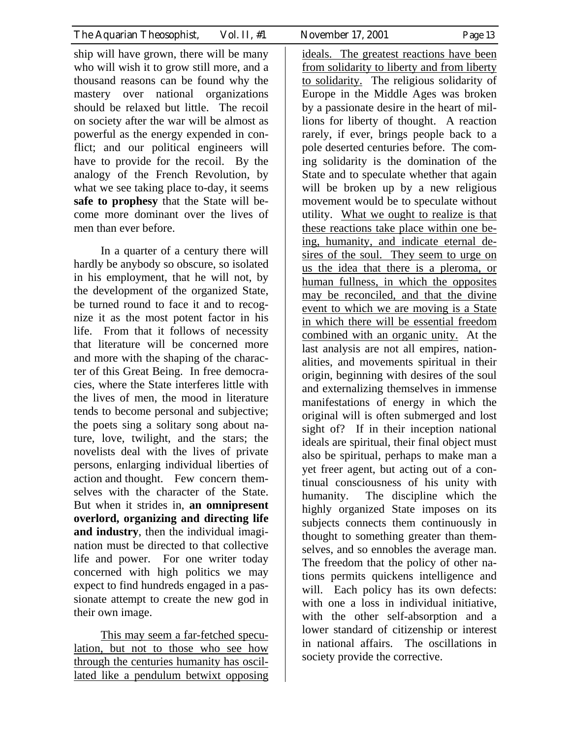ship will have grown, there will be many who will wish it to grow still more, and a thousand reasons can be found why the mastery over national organizations should be relaxed but little. The recoil on society after the war will be almost as powerful as the energy expended in conflict; and our political engineers will have to provide for the recoil. By the analogy of the French Revolution, by what we see taking place to-day, it seems **safe to prophesy** that the State will become more dominant over the lives of men than ever before.

In a quarter of a century there will hardly be anybody so obscure, so isolated in his employment, that he will not, by the development of the organized State, be turned round to face it and to recognize it as the most potent factor in his life. From that it follows of necessity that literature will be concerned more and more with the shaping of the character of this Great Being. In free democracies, where the State interferes little with the lives of men, the mood in literature tends to become personal and subjective; the poets sing a solitary song about nature, love, twilight, and the stars; the novelists deal with the lives of private persons, enlarging individual liberties of action and thought. Few concern themselves with the character of the State. But when it strides in, **an omnipresent overlord, organizing and directing life and industry**, then the individual imagination must be directed to that collective life and power. For one writer today concerned with high politics we may expect to find hundreds engaged in a passionate attempt to create the new god in their own image.

This may seem a far-fetched speculation, but not to those who see how through the centuries humanity has oscillated like a pendulum betwixt opposing

ideals. The greatest reactions have been from solidarity to liberty and from liberty to solidarity. The religious solidarity of Europe in the Middle Ages was broken by a passionate desire in the heart of millions for liberty of thought. A reaction rarely, if ever, brings people back to a pole deserted centuries before. The coming solidarity is the domination of the State and to speculate whether that again will be broken up by a new religious movement would be to speculate without utility. What we ought to realize is that these reactions take place within one being, humanity, and indicate eternal desires of the soul. They seem to urge on us the idea that there is a pleroma, or human fullness, in which the opposites may be reconciled, and that the divine event to which we are moving is a State in which there will be essential freedom combined with an organic unity. At the last analysis are not all empires, nationalities, and movements spiritual in their origin, beginning with desires of the soul and externalizing themselves in immense manifestations of energy in which the original will is often submerged and lost sight of? If in their inception national ideals are spiritual, their final object must also be spiritual, perhaps to make man a yet freer agent, but acting out of a continual consciousness of his unity with humanity. The discipline which the highly organized State imposes on its subjects connects them continuously in thought to something greater than themselves, and so ennobles the average man. The freedom that the policy of other nations permits quickens intelligence and will. Each policy has its own defects: with one a loss in individual initiative, with the other self-absorption and a lower standard of citizenship or interest in national affairs. The oscillations in

society provide the corrective.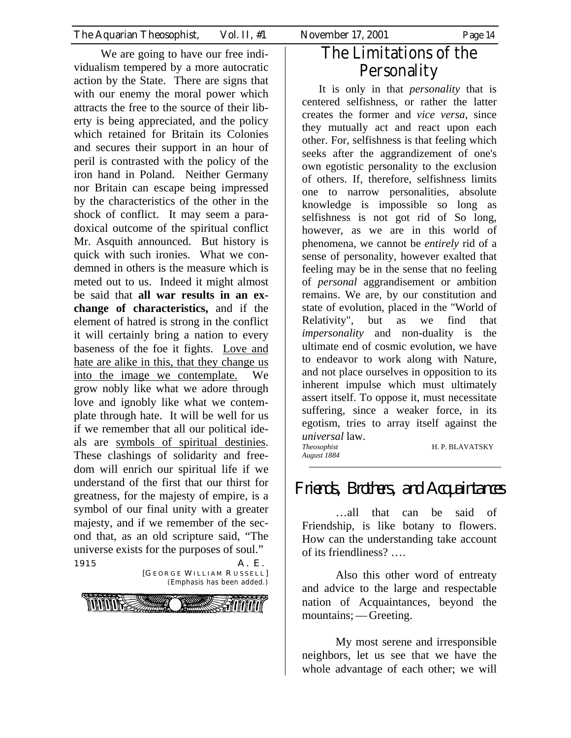We are going to have our free individualism tempered by a more autocratic action by the State. There are signs that with our enemy the moral power which attracts the free to the source of their liberty is being appreciated, and the policy which retained for Britain its Colonies and secures their support in an hour of peril is contrasted with the policy of the iron hand in Poland. Neither Germany nor Britain can escape being impressed by the characteristics of the other in the shock of conflict. It may seem a paradoxical outcome of the spiritual conflict Mr. Asquith announced. But history is quick with such ironies. What we condemned in others is the measure which is meted out to us. Indeed it might almost be said that **all war results in an exchange of characteristics,** and if the element of hatred is strong in the conflict it will certainly bring a nation to every baseness of the foe it fights. Love and hate are alike in this, that they change us into the image we contemplate. We grow nobly like what we adore through love and ignobly like what we contemplate through hate. It will be well for us if we remember that all our political ideals are symbols of spiritual destinies. These clashings of solidarity and freedom will enrich our spiritual life if we understand of the first that our thirst for greatness, for the majesty of empire, is a symbol of our final unity with a greater majesty, and if we remember of the second that, as an old scripture said, "The universe exists for the purposes of soul." 1915 **A. E.** 

[GEORGE WILLIAM RUSSELL] (Emphasis has been added.)



# The Limitations of the **Personality**

 It is only in that *personality* that is centered selfishness, or rather the latter creates the former and *vice versa,* since they mutually act and react upon each other. For, selfishness is that feeling which seeks after the aggrandizement of one's own egotistic personality to the exclusion of others. If, therefore, selfishness limits one to narrow personalities, absolute knowledge is impossible so long as selfishness is not got rid of So long, however, as we are in this world of phenomena, we cannot be *entirely* rid of a sense of personality, however exalted that feeling may be in the sense that no feeling of *personal* aggrandisement or ambition remains. We are, by our constitution and state of evolution, placed in the "World of Relativity", but as we find that *impersonality* and non-duality is the ultimate end of cosmic evolution, we have to endeavor to work along with Nature, and not place ourselves in opposition to its inherent impulse which must ultimately assert itself. To oppose it, must necessitate suffering, since a weaker force, in its egotism, tries to array itself against the *universal* law.

*August 1884* 

#### *Theosophist* H. P. BLAVATSKY

# *Friends, Brothers, and Acquaintances*

…all that can be said of Friendship, is like botany to flowers. How can the understanding take account of its friendliness? ….

Also this other word of entreaty and advice to the large and respectable nation of Acquaintances, beyond the mountains;—Greeting.

My most serene and irresponsible neighbors, let us see that we have the whole advantage of each other; we will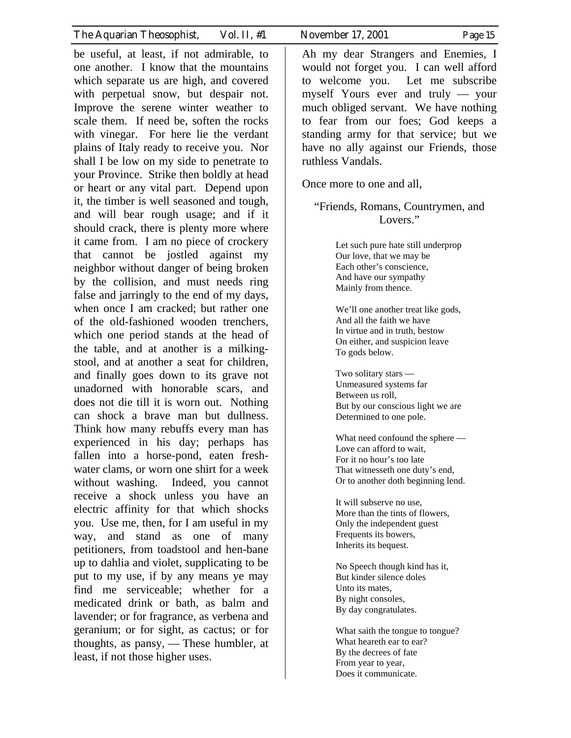| The Aquarian Theosophist,<br>Vol. 11, #1                                                                                       | November 17, 2001<br>Page 15                                                                                       |
|--------------------------------------------------------------------------------------------------------------------------------|--------------------------------------------------------------------------------------------------------------------|
| be useful, at least, if not admirable, to<br>one another. I know that the mountains<br>which separate us are high, and covered | Ah my dear Strangers and Enemies, I<br>would not forget you. I can well afford<br>to welcome you. Let me subscribe |
| with perpetual snow, but despair not.<br>Improve the serene winter weather to                                                  | myself Yours ever and truly — your<br>much obliged servant. We have nothing                                        |
| scale them. If need be, soften the rocks                                                                                       | to fear from our foes; God keeps a                                                                                 |
| with vinegar. For here lie the verdant                                                                                         | standing army for that service; but we                                                                             |
| plains of Italy ready to receive you. Nor                                                                                      | have no ally against our Friends, those                                                                            |
| shall I be low on my side to penetrate to                                                                                      | ruthless Vandals.                                                                                                  |
| your Province. Strike then boldly at head<br>or heart or any vital part. Depend upon                                           | Once more to one and all,                                                                                          |
| it, the timber is well seasoned and tough,                                                                                     |                                                                                                                    |
| and will bear rough usage; and if it                                                                                           | "Friends, Romans, Countrymen, and<br>Lovers."                                                                      |
| should crack, there is plenty more where                                                                                       |                                                                                                                    |
| it came from. I am no piece of crockery<br>that cannot be jostled against my                                                   | Let such pure hate still underprop                                                                                 |
| neighbor without danger of being broken                                                                                        | Our love, that we may be<br>Each other's conscience,                                                               |
| by the collision, and must needs ring                                                                                          | And have our sympathy<br>Mainly from thence.                                                                       |
| false and jarringly to the end of my days,                                                                                     |                                                                                                                    |
| when once I am cracked; but rather one                                                                                         | We'll one another treat like gods,<br>And all the faith we have                                                    |
| of the old-fashioned wooden trenchers,<br>which one period stands at the head of                                               | In virtue and in truth, bestow                                                                                     |
| the table, and at another is a milking-                                                                                        | On either, and suspicion leave<br>To gods below.                                                                   |
| stool, and at another a seat for children,                                                                                     |                                                                                                                    |
| and finally goes down to its grave not                                                                                         | Two solitary stars —<br>Unmeasured systems far                                                                     |
| unadorned with honorable scars, and                                                                                            | Between us roll,                                                                                                   |
| does not die till it is worn out. Nothing<br>can shock a brave man but dullness.                                               | But by our conscious light we are<br>Determined to one pole.                                                       |
| Think how many rebuffs every man has                                                                                           |                                                                                                                    |
| experienced in his day; perhaps has                                                                                            | What need confound the sphere -<br>Love can afford to wait,                                                        |
| fallen into a horse-pond, eaten fresh-                                                                                         | For it no hour's too late                                                                                          |
| water clams, or worn one shirt for a week<br>without washing. Indeed, you cannot                                               | That witnesseth one duty's end,<br>Or to another doth beginning lend.                                              |
| receive a shock unless you have an                                                                                             |                                                                                                                    |
| electric affinity for that which shocks                                                                                        | It will subserve no use,<br>More than the tints of flowers,                                                        |
| you. Use me, then, for I am useful in my                                                                                       | Only the independent guest                                                                                         |
| and<br>stand as one<br>of many<br>way,                                                                                         | Frequents its bowers,<br>Inherits its bequest.                                                                     |
| petitioners, from toadstool and hen-bane<br>up to dahlia and violet, supplicating to be                                        |                                                                                                                    |
| put to my use, if by any means ye may                                                                                          | No Speech though kind has it,<br>But kinder silence doles                                                          |
| find me serviceable; whether for a                                                                                             | Unto its mates,                                                                                                    |
| medicated drink or bath, as balm and                                                                                           | By night consoles,<br>By day congratulates.                                                                        |
| lavender; or for fragrance, as verbena and                                                                                     |                                                                                                                    |
| geranium; or for sight, as cactus; or for                                                                                      | What saith the tongue to tongue?<br>What heareth ear to ear?                                                       |
| thoughts, as pansy, — These humbler, at<br>least, if not those higher uses.                                                    | By the decrees of fate                                                                                             |
|                                                                                                                                | From year to year,<br>Does it communicate.                                                                         |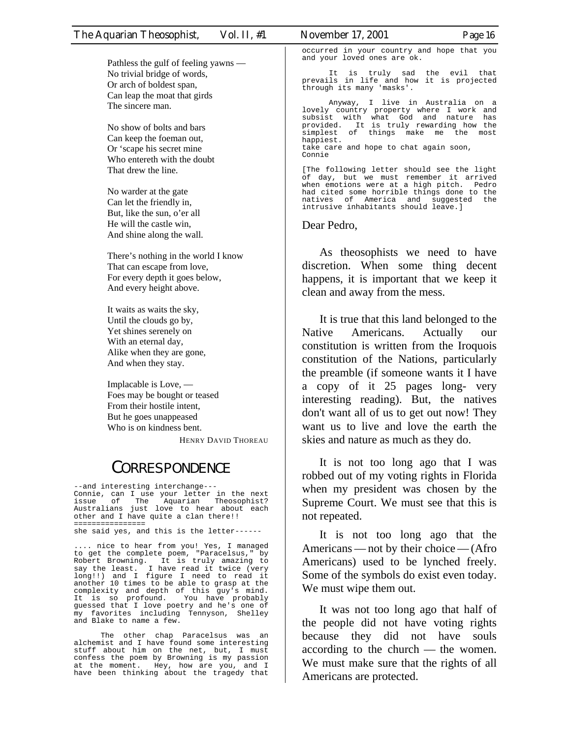Pathless the gulf of feeling yawns — No trivial bridge of words, Or arch of boldest span, Can leap the moat that girds The sincere man.

No show of bolts and bars Can keep the foeman out, Or 'scape his secret mine Who entereth with the doubt That drew the line.

No warder at the gate Can let the friendly in, But, like the sun, o'er all He will the castle win, And shine along the wall.

There's nothing in the world I know That can escape from love, For every depth it goes below, And every height above.

It waits as waits the sky, Until the clouds go by, Yet shines serenely on With an eternal day, Alike when they are gone, And when they stay.

Implacable is Love, — Foes may be bought or teased From their hostile intent, But he goes unappeased Who is on kindness bent.

HENRY DAVID THOREAU

### CORRESPONDENCE

--and interesting interchange--- Connie, can I use your letter in the next<br>issue of The Aquarian Theosophist? issue of The Aquarian Theosophist? Australians just love to hear about each other and I have quite a clan there!! ================ she said yes, and this is the letter------

... nice to hear from you! Yes, I managed to get the complete poem, "Paracelsus," by Robert Browning. It is truly amazing to say the least. I have read it twice (very long!!) and I figure I need to read it another 10 times to be able to grasp at the complexity and depth of this guy's mind. It is so profound. You have probably guessed that I love poetry and he's one of my favorites including Tennyson, Shelley and Blake to name a few.

 The other chap Paracelsus was an alchemist and I have found some interesting stuff about him on the net, but, I must confess the poem by Browning is my passion<br>at the moment. Hey, how are you, and I Hey, how are you, and I have been thinking about the tragedy that

occurred in your country and hope that you and your loved ones are ok.

 It is truly sad the evil that prevails in life and how it is projected through its many 'masks'.

 Anyway, I live in Australia on a lovely country property where I work and subsist with what God and nature has provided. It is truly rewarding how the simplest of things make me the most happiest. take care and hope to chat again soon, Connie

[The following letter should see the light of day, but we must remember it arrived when emotions were at a high pitch. Pedro had cited some horrible things done to the natives of America and suggested the intrusive inhabitants should leave.]

Dear Pedro,

 As theosophists we need to have discretion. When some thing decent happens, it is important that we keep it clean and away from the mess.

 It is true that this land belonged to the Native Americans. Actually our constitution is written from the Iroquois constitution of the Nations, particularly the preamble (if someone wants it I have a copy of it 25 pages long- very interesting reading). But, the natives don't want all of us to get out now! They want us to live and love the earth the skies and nature as much as they do.

 It is not too long ago that I was robbed out of my voting rights in Florida when my president was chosen by the Supreme Court. We must see that this is not repeated.

 It is not too long ago that the Americans — not by their choice — (Afro Americans) used to be lynched freely. Some of the symbols do exist even today. We must wipe them out.

 It was not too long ago that half of the people did not have voting rights because they did not have souls according to the church — the women. We must make sure that the rights of all Americans are protected.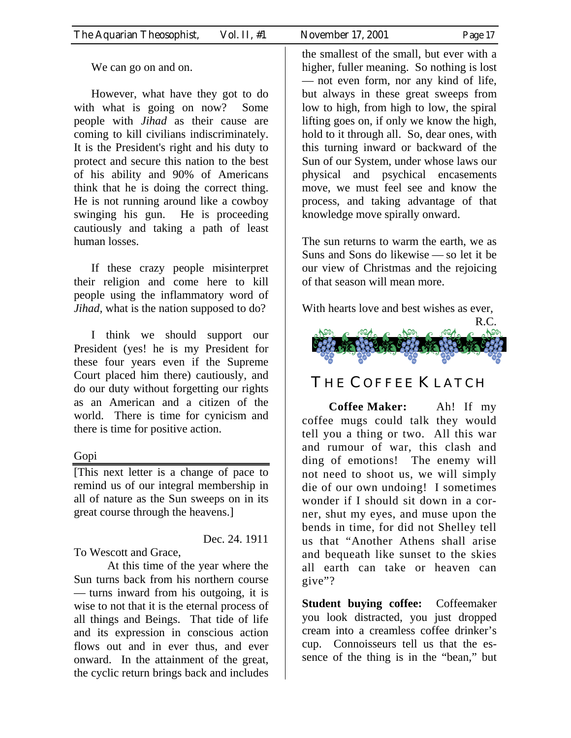We can go on and on.

 However, what have they got to do with what is going on now? Some people with *Jihad* as their cause are coming to kill civilians indiscriminately. It is the President's right and his duty to protect and secure this nation to the best of his ability and 90% of Americans think that he is doing the correct thing. He is not running around like a cowboy swinging his gun. He is proceeding cautiously and taking a path of least human losses.

 If these crazy people misinterpret their religion and come here to kill people using the inflammatory word of *Jihad,* what is the nation supposed to do?

 I think we should support our President (yes! he is my President for these four years even if the Supreme Court placed him there) cautiously, and do our duty without forgetting our rights as an American and a citizen of the world. There is time for cynicism and there is time for positive action.

#### Gopi

[This next letter is a change of pace to remind us of our integral membership in all of nature as the Sun sweeps on in its great course through the heavens.]

Dec. 24. 1911

To Wescott and Grace,

At this time of the year where the Sun turns back from his northern course — turns inward from his outgoing, it is wise to not that it is the eternal process of all things and Beings. That tide of life and its expression in conscious action flows out and in ever thus, and ever onward. In the attainment of the great, the cyclic return brings back and includes

the smallest of the small, but ever with a higher, fuller meaning. So nothing is lost — not even form, nor any kind of life, but always in these great sweeps from low to high, from high to low, the spiral lifting goes on, if only we know the high, hold to it through all. So, dear ones, with this turning inward or backward of the Sun of our System, under whose laws our physical and psychical encasements move, we must feel see and know the process, and taking advantage of that knowledge move spirally onward.

The sun returns to warm the earth, we as Suns and Sons do likewise — so let it be our view of Christmas and the rejoicing of that season will mean more.

With hearts love and best wishes as ever,



### THE COFFEE KLATCH

**Coffee Maker:** Ah! If my coffee mugs could talk they would tell you a thing or two. All this war and rumour of war, this clash and ding of emotions! The enemy will not need to shoot us, we will simply die of our own undoing! I sometimes wonder if I should sit down in a corner, shut my eyes, and muse upon the bends in time, for did not Shelley tell us that "Another Athens shall arise and bequeath like sunset to the skies all earth can take or heaven can give"?

**Student buying coffee:** Coffeemaker you look distracted, you just dropped cream into a creamless coffee drinker's cup. Connoisseurs tell us that the essence of the thing is in the "bean," but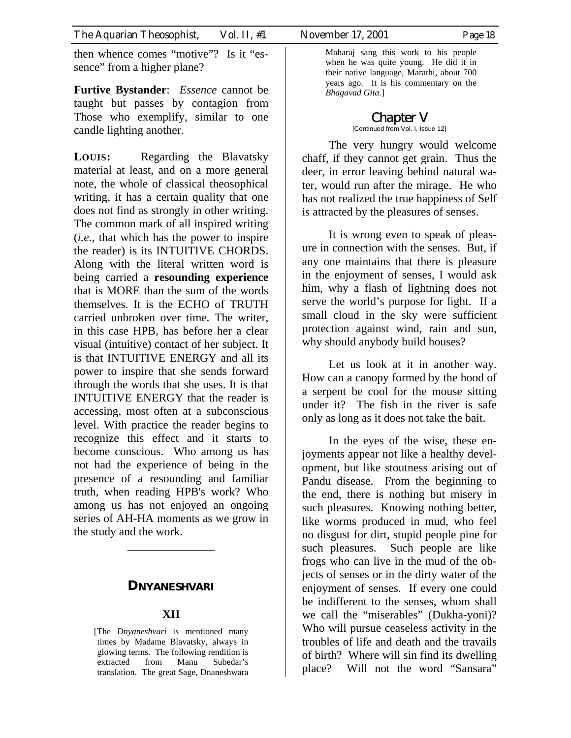then whence comes "motive"? Is it "essence" from a higher plane?

**Furtive Bystander**: *Essence* cannot be taught but passes by contagion from Those who exemplify, similar to one candle lighting another.

**LOUIS:** Regarding the Blavatsky material at least, and on a more general note, the whole of classical theosophical writing, it has a certain quality that one does not find as strongly in other writing. The common mark of all inspired writing (*i.e.,* that which has the power to inspire the reader) is its INTUITIVE CHORDS. Along with the literal written word is being carried a **resounding experience** that is MORE than the sum of the words themselves. It is the ECHO of TRUTH carried unbroken over time. The writer, in this case HPB, has before her a clear visual (intuitive) contact of her subject. It is that INTUITIVE ENERGY and all its power to inspire that she sends forward through the words that she uses. It is that INTUITIVE ENERGY that the reader is accessing, most often at a subconscious level. With practice the reader begins to recognize this effect and it starts to become conscious. Who among us has not had the experience of being in the presence of a resounding and familiar truth, when reading HPB's work? Who among us has not enjoyed an ongoing series of AH-HA moments as we grow in the study and the work.

#### **DNYANESHVARI**

\_\_\_\_\_\_\_\_\_\_\_\_\_\_\_

#### **XII**

[The *Dnyaneshvari* is mentioned many times by Madame Blavatsky, always in glowing terms. The following rendition is extracted from Manu Subedar's translation. The great Sage, Dnaneshwara

Maharaj sang this work to his people when he was quite young. He did it in their native language, Marathi, about 700 years ago. It is his commentary on the *Bhagavad Gita.*]

## Chapter V

[Continued from Vol. I, Issue 12]

The very hungry would welcome chaff, if they cannot get grain. Thus the deer, in error leaving behind natural water, would run after the mirage. He who has not realized the true happiness of Self is attracted by the pleasures of senses.

It is wrong even to speak of pleasure in connection with the senses. But, if any one maintains that there is pleasure in the enjoyment of senses, I would ask him, why a flash of lightning does not serve the world's purpose for light. If a small cloud in the sky were sufficient protection against wind, rain and sun, why should anybody build houses?

Let us look at it in another way. How can a canopy formed by the hood of a serpent be cool for the mouse sitting under it? The fish in the river is safe only as long as it does not take the bait.

In the eyes of the wise, these enjoyments appear not like a healthy development, but like stoutness arising out of Pandu disease. From the beginning to the end, there is nothing but misery in such pleasures. Knowing nothing better, like worms produced in mud, who feel no disgust for dirt, stupid people pine for such pleasures. Such people are like frogs who can live in the mud of the objects of senses or in the dirty water of the enjoyment of senses. If every one could be indifferent to the senses, whom shall we call the "miserables" (Dukha-yoni)? Who will pursue ceaseless activity in the troubles of life and death and the travails of birth? Where will sin find its dwelling place? Will not the word "Sansara"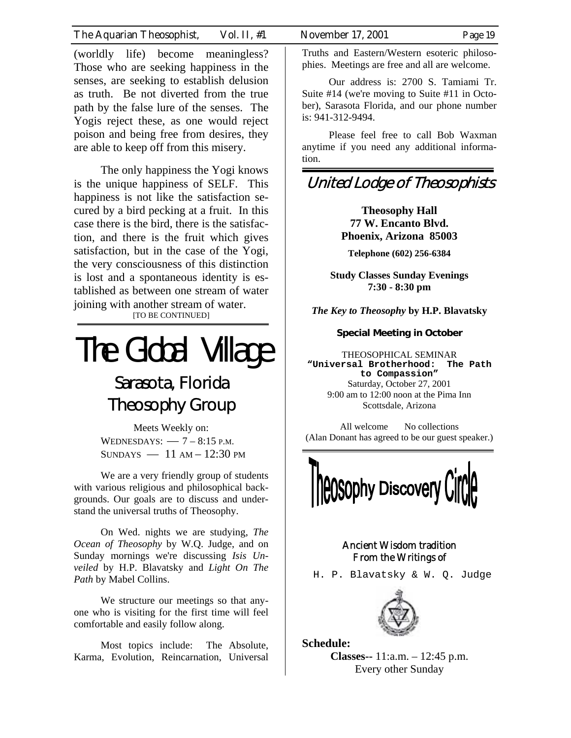(worldly life) become meaningless? Those who are seeking happiness in the senses, are seeking to establish delusion as truth. Be not diverted from the true path by the false lure of the senses. The Yogis reject these, as one would reject poison and being free from desires, they are able to keep off from this misery.

The only happiness the Yogi knows is the unique happiness of SELF. This happiness is not like the satisfaction secured by a bird pecking at a fruit. In this case there is the bird, there is the satisfaction, and there is the fruit which gives satisfaction, but in the case of the Yogi, the very consciousness of this distinction is lost and a spontaneous identity is established as between one stream of water joining with another stream of water.

[TO BE CONTINUED]

# The Global Village Sarasota, Florida Theosophy Group

Meets Weekly on: WEDNESDAYS:  $-7 - 8:15$  P.M. SUNDAYS  $-11$  AM  $-12:30$  PM

We are a very friendly group of students with various religious and philosophical backgrounds. Our goals are to discuss and understand the universal truths of Theosophy.

On Wed. nights we are studying, *The Ocean of Theosophy* by W.Q. Judge, and on Sunday mornings we're discussing *Isis Unveiled* by H.P. Blavatsky and *Light On The Path* by Mabel Collins.

We structure our meetings so that anyone who is visiting for the first time will feel comfortable and easily follow along.

Most topics include: The Absolute, Karma, Evolution, Reincarnation, Universal

Truths and Eastern/Western esoteric philosophies. Meetings are free and all are welcome.

Our address is: 2700 S. Tamiami Tr. Suite #14 (we're moving to Suite #11 in October), Sarasota Florida, and our phone number is: 941-312-9494.

Please feel free to call Bob Waxman anytime if you need any additional information.

# United Lodge of Theosophists

**Theosophy Hall 77 W. Encanto Blvd. Phoenix, Arizona 85003** 

**Telephone (602) 256-6384** 

**Study Classes Sunday Evenings 7:30 - 8:30 pm**

*The Key to Theosophy* **by H.P. Blavatsky** 

**Special Meeting in October** 

THEOSOPHICAL SEMINAR **"Universal Brotherhood: The Path to Compassion"**  Saturday, October 27, 2001 9:00 am to 12:00 noon at the Pima Inn Scottsdale, Arizona

All welcome No collections (Alan Donant has agreed to be our guest speaker.)



#### Ancient Wisdom tradition From the Writings of

H. P. Blavatsky & W. Q. Judge



**Schedule:** 

**Classes--** 11:a.m. – 12:45 p.m. Every other Sunday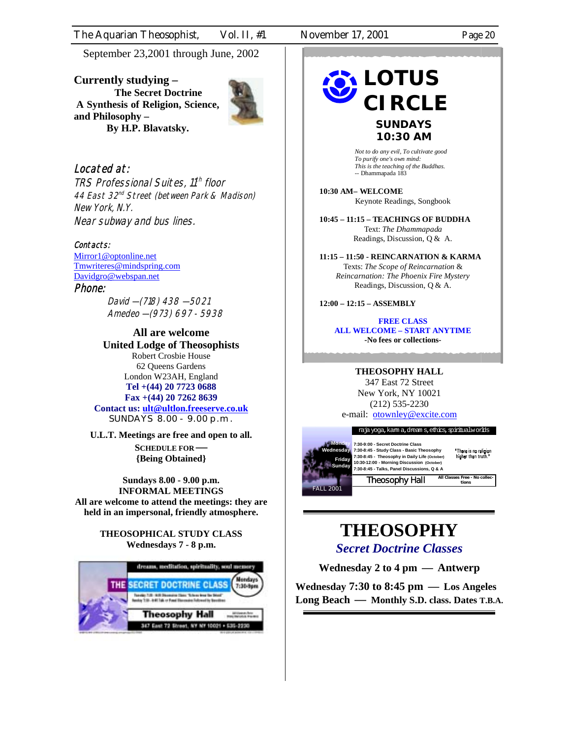#### The Aquarian Theosophist, Vol. II, #1 November 17, 2001 Page 20

September 23,2001 through June, 2002

**Currently studying – The Secret Doctrine A Synthesis of Religion, Science, and Philosophy – By H.P. Blavatsky.** 



Located at: TRS Professional Suites, 11th floor 44 East 32<sup>nd</sup> Street (between Park & Madison) New York, N.Y. Near subway and bus lines.

#### Contacts:

[Mirror1@optonline.net](mailto:Mirror1@optonline.net) [Tmwriteres@mindspring.com](mailto:Tmwriteres@mindspring.com) [Davidgro@webspan.net](mailto:Davidgro@webspan.net)

#### Phone:

 David — (718) 438 — 5021 Amedeo — (973) 697 - 5938

**All are welcome United Lodge of Theosophists** 

Robert Crosbie House 62 Queens Gardens London W23AH, England **Tel +(44) 20 7723 0688 Fax +(44) 20 7262 8639**

**Contact us: [ult@ultlon.freeserve.co.uk](mailto:ult@ultlon.freeserve.co.uk)** SUNDAYS 8.00 - 9.00 p.m.

**U.L.T. Meetings are free and open to all. SCHEDULE FOR—**

**{Being Obtained}** 

**Sundays 8.00 - 9.00 p.m. INFORMAL MEETINGS All are welcome to attend the meetings: they are held in an impersonal, friendly atmosphere.** 

> **THEOSOPHICAL STUDY CLASS Wednesdays 7 - 8 p.m.**



**LOTUS CIRCLE SUNDAYS 10:30 AM**

> *Not to do any evil, To cultivate good To purify one's own mind: This is the teaching of the Buddhas.* -- Dhammapada 183

**10:30 AM– WELCOME** Keynote Readings, Songbook

**10:45 – 11:15 – TEACHINGS OF BUDDHA**  Text: *The Dhammapada* Readings, Discussion, Q & A.

**11:15 – 11:50 - REINCARNATION & KARMA** Texts: *The Scope of Reincarnation* & *Reincarnation: The Phoenix Fire Mystery* Readings, Discussion, Q & A.

**12:00 – 12:15 – ASSEMBLY**

**FREE CLASS ALL WELCOME – START ANYTIME -No fees or collections-**

#### **THEOSOPHY HALL**

347 East 72 Street New York, NY 10021 (212) 535-2230

e-mail: [otownley@excite.com](mailto:otownley@excite.com)



# **THEOSOPHY**  *Secret Doctrine Classes*

**Wednesday 2 to 4 pm — Antwerp** 

**Wednesday 7:30 to 8:45 pm — Los Angeles Long Beach — Monthly S.D. class. Dates T.B.A.**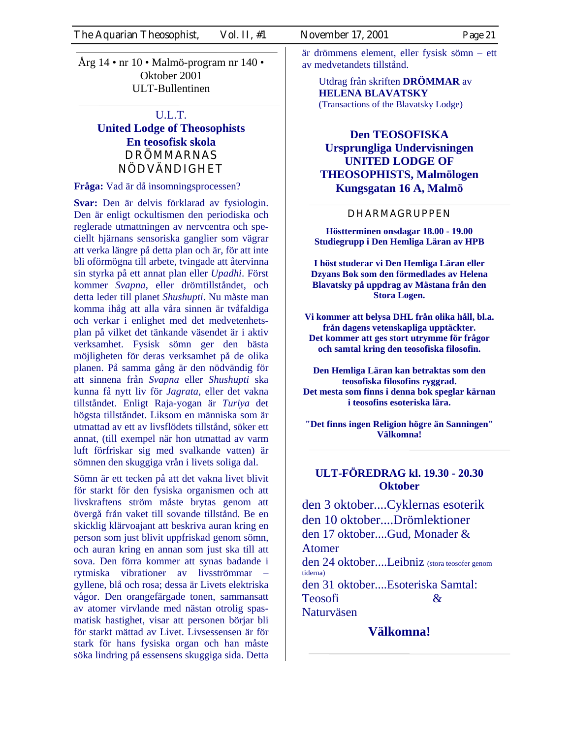Årg 14 • nr 10 • Malmö-program nr 140 • Oktober 2001 ULT-Bullentinen

#### U.L.T. **United Lodge of Theosophists En teosofisk skola** DRÖMMARNAS NÖDVÄNDIGHET

#### **Fråga:** Vad är då insomningsprocessen?

**Svar:** Den är delvis förklarad av fysiologin. Den är enligt ockultismen den periodiska och reglerade utmattningen av nervcentra och speciellt hjärnans sensoriska ganglier som vägrar att verka längre på detta plan och är, för att inte bli oförmögna till arbete, tvingade att återvinna sin styrka på ett annat plan eller *Upadhi*. Först kommer *Svapna*, eller drömtillståndet, och detta leder till planet *Shushupti*. Nu måste man komma ihåg att alla våra sinnen är tvåfaldiga och verkar i enlighet med det medvetenhetsplan på vilket det tänkande väsendet är i aktiv verksamhet. Fysisk sömn ger den bästa möjligheten för deras verksamhet på de olika planen. På samma gång är den nödvändig för att sinnena från *Svapna* eller *Shushupti* ska kunna få nytt liv för *Jagrata*, eller det vakna tillståndet. Enligt Raja-yogan är *Turiya* det högsta tillståndet. Liksom en människa som är utmattad av ett av livsflödets tillstånd, söker ett annat, (till exempel när hon utmattad av varm luft förfriskar sig med svalkande vatten) är sömnen den skuggiga vrån i livets soliga dal.

Sömn är ett tecken på att det vakna livet blivit för starkt för den fysiska organismen och att livskraftens ström måste brytas genom att övergå från vaket till sovande tillstånd. Be en skicklig klärvoajant att beskriva auran kring en person som just blivit uppfriskad genom sömn, och auran kring en annan som just ska till att sova. Den förra kommer att synas badande i rytmiska vibrationer av livsströmmar – gyllene, blå och rosa; dessa är Livets elektriska vågor. Den orangefärgade tonen, sammansatt av atomer virvlande med nästan otrolig spasmatisk hastighet, visar att personen börjar bli för starkt mättad av Livet. Livsessensen är för stark för hans fysiska organ och han måste söka lindring på essensens skuggiga sida. Detta

är drömmens element, eller fysisk sömn – ett av medvetandets tillstånd.

Utdrag från skriften **DRÖMMAR** av **HELENA BLAVATSKY** (Transactions of the Blavatsky Lodge)

#### **Den TEOSOFISKA Ursprungliga Undervisningen UNITED LODGE OF THEOSOPHISTS, Malmölogen Kungsgatan 16 A, Malmö**

#### DHARMAGRUPPEN

**Höstterminen onsdagar 18.00 - 19.00 Studiegrupp i Den Hemliga Läran av HPB** 

**I höst studerar vi Den Hemliga Läran eller Dzyans Bok som den förmedlades av Helena Blavatsky på uppdrag av Mästana från den Stora Logen.** 

**Vi kommer att belysa DHL från olika håll, bl.a. från dagens vetenskapliga upptäckter. Det kommer att ges stort utrymme för frågor och samtal kring den teosofiska filosofin.** 

**Den Hemliga Läran kan betraktas som den teosofiska filosofins ryggrad. Det mesta som finns i denna bok speglar kärnan i teosofins esoteriska lära.** 

**"Det finns ingen Religion högre än Sanningen" Välkomna!** 

#### **ULT-FÖREDRAG kl. 19.30 - 20.30 Oktober**

den 3 oktober....Cyklernas esoterik den 10 oktober....Drömlektioner den 17 oktober....Gud, Monader & Atomer den 24 oktober....Leibniz (stora teosofer genom tiderna) den 31 oktober....Esoteriska Samtal: Teosofi & Naturväsen

#### **Välkomna!**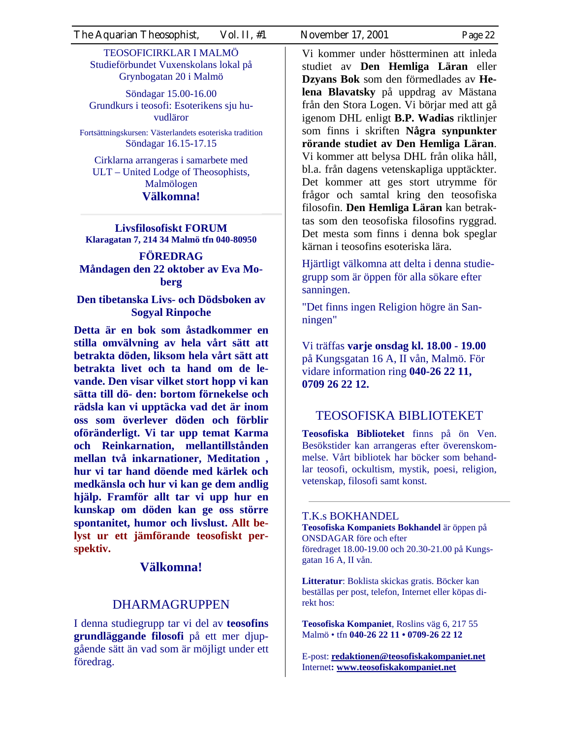TEOSOFICIRKLAR I MALMÖ Studieförbundet Vuxenskolans lokal på Grynbogatan 20 i Malmö

Söndagar 15.00-16.00 Grundkurs i teosofi: Esoterikens sju huvudläror

Fortsättningskursen: Västerlandets esoteriska tradition Söndagar 16.15-17.15

Cirklarna arrangeras i samarbete med ULT – United Lodge of Theosophists,

Malmölogen **Välkomna!** 

**Livsfilosofiskt FORUM Klaragatan 7, 214 34 Malmö tfn 040-80950**

**FÖREDRAG Måndagen den 22 oktober av Eva Moberg**

#### **Den tibetanska Livs- och Dödsboken av Sogyal Rinpoche**

**Detta är en bok som åstadkommer en stilla omvälvning av hela vårt sätt att betrakta döden, liksom hela vårt sätt att betrakta livet och ta hand om de levande. Den visar vilket stort hopp vi kan sätta till dö- den: bortom förnekelse och rädsla kan vi upptäcka vad det är inom oss som överlever döden och förblir oföränderligt. Vi tar upp temat Karma och Reinkarnation, mellantillstånden mellan två inkarnationer, Meditation , hur vi tar hand döende med kärlek och medkänsla och hur vi kan ge dem andlig hjälp. Framför allt tar vi upp hur en kunskap om döden kan ge oss större spontanitet, humor och livslust. Allt belyst ur ett jämförande teosofiskt perspektiv.** 

#### **Välkomna!**

#### DHARMAGRUPPEN

I denna studiegrupp tar vi del av **teosofins grundläggande filosofi** på ett mer djupgående sätt än vad som är möjligt under ett föredrag.

Vi kommer under höstterminen att inleda studiet av **Den Hemliga Läran** eller **Dzyans Bok** som den förmedlades av **Helena Blavatsky** på uppdrag av Mästana från den Stora Logen. Vi börjar med att gå

igenom DHL enligt **B.P. Wadias** riktlinjer som finns i skriften **Några synpunkter rörande studiet av Den Hemliga Läran**. Vi kommer att belysa DHL från olika håll, bl.a. från dagens vetenskapliga upptäckter. Det kommer att ges stort utrymme för frågor och samtal kring den teosofiska filosofin. **Den Hemliga Läran** kan betraktas som den teosofiska filosofins ryggrad. Det mesta som finns i denna bok speglar kärnan i teosofins esoteriska lära.

Hjärtligt välkomna att delta i denna studiegrupp som är öppen för alla sökare efter sanningen.

"Det finns ingen Religion högre än Sanningen"

Vi träffas **varje onsdag kl. 18.00 - 19.00**  på Kungsgatan 16 A, II vån, Malmö. För vidare information ring **040-26 22 11, 0709 26 22 12.**

#### TEOSOFISKA BIBLIOTEKET

**Teosofiska Biblioteket** finns på ön Ven. Besökstider kan arrangeras efter överenskommelse. Vårt bibliotek har böcker som behandlar teosofi, ockultism, mystik, poesi, religion, vetenskap, filosofi samt konst.

#### T.K.s BOKHANDEL

**Teosofiska Kompaniets Bokhandel** är öppen på ONSDAGAR före och efter föredraget 18.00-19.00 och 20.30-21.00 på Kungsgatan 16 A, II vån.

**Litteratur**: Boklista skickas gratis. Böcker kan beställas per post, telefon, Internet eller köpas direkt hos:

**Teosofiska Kompaniet**, Roslins väg 6, 217 55 Malmö • tfn **040-26 22 11 • 0709-26 22 12**

E-post: **[redaktionen@teosofiskakompaniet.net](mailto:redaktionen@teosofiskakompaniet.net)** Internet**: [www.teosofiskakompaniet.net](http://www.teosofiskakompaniet.net/)**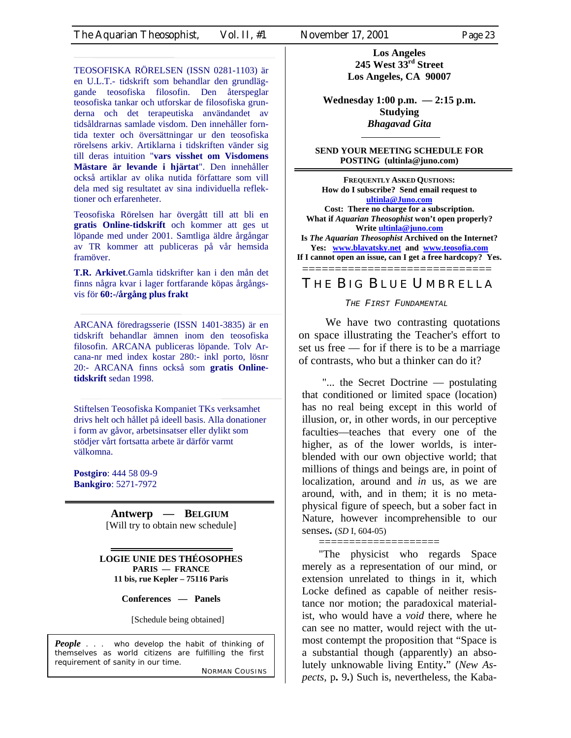TEOSOFISKA RÖRELSEN (ISSN 0281-1103) är en U.L.T.- tidskrift som behandlar den grundläggande teosofiska filosofin. Den återspeglar teosofiska tankar och utforskar de filosofiska grunderna och det terapeutiska användandet av tidsåldrarnas samlade visdom. Den innehåller forntida texter och översättningar ur den teosofiska rörelsens arkiv. Artiklarna i tidskriften vänder sig till deras intuition "**vars visshet om Visdomens Mästare är levande i hjärtat**". Den innehåller också artiklar av olika nutida författare som vill dela med sig resultatet av sina individuella reflektioner och erfarenheter.

Teosofiska Rörelsen har övergått till att bli en **gratis Online-tidskrift** och kommer att ges ut löpande med under 2001. Samtliga äldre årgångar av TR kommer att publiceras på vår hemsida framöver.

**T.R. Arkivet**.Gamla tidskrifter kan i den mån det finns några kvar i lager fortfarande köpas årgångsvis för **60:-/årgång plus frakt** 

ARCANA föredragsserie (ISSN 1401-3835) är en tidskrift behandlar ämnen inom den teosofiska filosofin. ARCANA publiceras löpande. Tolv Arcana-nr med index kostar 280:- inkl porto, lösnr 20:- ARCANA finns också som **gratis Onlinetidskrift** sedan 1998.

Stiftelsen Teosofiska Kompaniet TKs verksamhet drivs helt och hållet på ideell basis. Alla donationer i form av gåvor, arbetsinsatser eller dylikt som stödjer vårt fortsatta arbete är därför varmt välkomna.

**Postgiro**: 444 58 09-9 **Bankgiro**: 5271-7972

> **Antwerp — BELGIUM**  [Will try to obtain new schedule]

**LOGIE UNIE DES THÉOSOPHES PARIS — FRANCE 11 bis, rue Kepler – 75116 Paris** 

**Conferences — Panels** 

[Schedule being obtained]

*People* . . . who develop the habit of thinking of themselves as world citizens are fulfilling the first requirement of sanity in our time.

NORMAN COUSINS

**Los Angeles 245 West 33rd Street Los Angeles, CA 90007** 

**Wednesday 1:00 p.m. — 2:15 p.m. Studying**  *Bhagavad Gita* 

**SEND YOUR MEETING SCHEDULE FOR POSTING (ultinla@juno.com)** 

**FREQUENTLY ASKED QUSTIONS: How do I subscribe? Send email request to [ultinla@Juno.com](mailto:ultinla@Juno.com) Cost: There no charge for a subscription. What if** *Aquarian Theosophist* **won't open properly? Write [ultinla@juno.com](mailto:ultinla@juno.com) Is** *The Aquarian Theosophist* **Archived on the Internet? Yes: [www.blavatsky.net](http://www.blavatsky.net/) and [www.teosofia.com](http://www.teosofia.com/)  If I cannot open an issue, can I get a free hardcopy? Yes.** ===============================

### THE BIG BLUE UMBRELLA

THE FIRST FUNDAMENTAL

We have two contrasting quotations on space illustrating the Teacher's effort to set us free — for if there is to be a marriage of contrasts, who but a thinker can do it?

"... the Secret Doctrine — postulating that conditioned or limited space (location) has no real being except in this world of illusion, or, in other words, in our perceptive faculties—teaches that every one of the higher, as of the lower worlds, is interblended with our own objective world; that millions of things and beings are, in point of localization, around and *in* us, as we are around, with, and in them; it is no metaphysical figure of speech, but a sober fact in Nature, however incomprehensible to our senses**.** (*SD* I, 604-05)

====================

"The physicist who regards Space merely as a representation of our mind, or extension unrelated to things in it, which Locke defined as capable of neither resistance nor motion; the paradoxical materialist, who would have a *void* there, where he can see no matter, would reject with the utmost contempt the proposition that "Space is a substantial though (apparently) an absolutely unknowable living Entity**.**" (*New Aspects*, p**.** 9**.**) Such is, nevertheless, the Kaba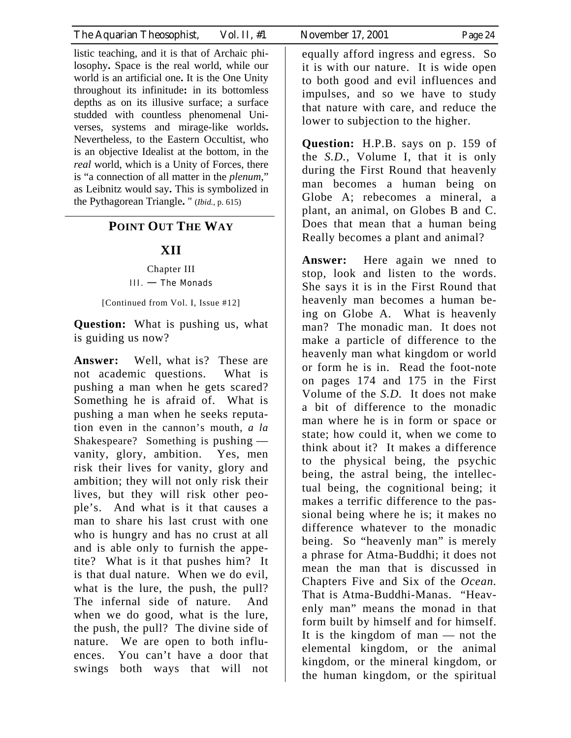listic teaching, and it is that of Archaic philosophy**.** Space is the real world, while our world is an artificial one**.** It is the One Unity throughout its infinitude**:** in its bottomless depths as on its illusive surface; a surface studded with countless phenomenal Universes, systems and mirage-like worlds**.** Nevertheless, to the Eastern Occultist, who is an objective Idealist at the bottom, in the *real* world, which is a Unity of Forces, there is "a connection of all matter in the *plenum*," as Leibnitz would say**.** This is symbolized in the Pythagorean Triangle**.** " (*Ibid.,* p. 615)

### **POINT OUT THE WAY**

### **XII**

Chapter III III. — The Monads

[Continued from Vol. I, Issue #12]

**Question:** What is pushing us, what is guiding us now?

**Answer:** Well, what is? These are not academic questions. What is pushing a man when he gets scared? Something he is afraid of. What is pushing a man when he seeks reputation even in the cannon's mouth, *a la*  Shakespeare? Something is pushing vanity, glory, ambition. Yes, men risk their lives for vanity, glory and ambition; they will not only risk their lives, but they will risk other people's. And what is it that causes a man to share his last crust with one who is hungry and has no crust at all and is able only to furnish the appetite? What is it that pushes him? It is that dual nature. When we do evil, what is the lure, the push, the pull? The infernal side of nature. And when we do good, what is the lure, the push, the pull? The divine side of nature. We are open to both influences. You can't have a door that swings both ways that will not

equally afford ingress and egress. So it is with our nature. It is wide open to both good and evil influences and impulses, and so we have to study that nature with care, and reduce the lower to subjection to the higher.

**Question:** H.P.B. says on p. 159 of the *S.D.,* Volume I, that it is only during the First Round that heavenly man becomes a human being on Globe A; rebecomes a mineral, a plant, an animal, on Globes B and C. Does that mean that a human being Really becomes a plant and animal?

**Answer:** Here again we nned to stop, look and listen to the words. She says it is in the First Round that heavenly man becomes a human being on Globe A. What is heavenly man? The monadic man. It does not make a particle of difference to the heavenly man what kingdom or world or form he is in. Read the foot-note on pages 174 and 175 in the First Volume of the *S.D.* It does not make a bit of difference to the monadic man where he is in form or space or state; how could it, when we come to think about it? It makes a difference to the physical being, the psychic being, the astral being, the intellectual being, the cognitional being; it makes a terrific difference to the passional being where he is; it makes no difference whatever to the monadic being. So "heavenly man" is merely a phrase for Atma-Buddhi; it does not mean the man that is discussed in Chapters Five and Six of the *Ocean.* That is Atma-Buddhi-Manas. "Heavenly man" means the monad in that form built by himself and for himself. It is the kingdom of man  $-$  not the elemental kingdom, or the animal kingdom, or the mineral kingdom, or the human kingdom, or the spiritual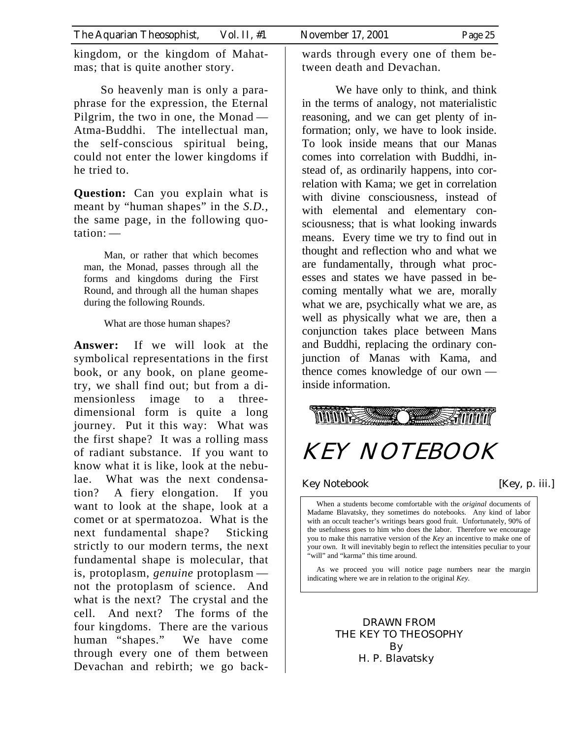kingdom, or the kingdom of Mahatmas; that is quite another story.

So heavenly man is only a paraphrase for the expression, the Eternal Pilgrim, the two in one, the Monad — Atma-Buddhi. The intellectual man, the self-conscious spiritual being, could not enter the lower kingdoms if he tried to.

**Question:** Can you explain what is meant by "human shapes" in the *S.D.,*  the same page, in the following quotation: —

Man, or rather that which becomes man, the Monad, passes through all the forms and kingdoms during the First Round, and through all the human shapes during the following Rounds.

What are those human shapes?

**Answer:** If we will look at the symbolical representations in the first book, or any book, on plane geometry, we shall find out; but from a dimensionless image to a threedimensional form is quite a long journey. Put it this way: What was the first shape? It was a rolling mass of radiant substance. If you want to know what it is like, look at the nebulae. What was the next condensation? A fiery elongation. If you want to look at the shape, look at a comet or at spermatozoa. What is the next fundamental shape? Sticking strictly to our modern terms, the next fundamental shape is molecular, that is, protoplasm, *genuine* protoplasm not the protoplasm of science. And what is the next? The crystal and the cell. And next? The forms of the four kingdoms. There are the various human "shapes." We have come through every one of them between Devachan and rebirth; we go backwards through every one of them between death and Devachan.

We have only to think, and think in the terms of analogy, not materialistic reasoning, and we can get plenty of information; only, we have to look inside. To look inside means that our Manas comes into correlation with Buddhi, instead of, as ordinarily happens, into correlation with Kama; we get in correlation with divine consciousness, instead of with elemental and elementary consciousness; that is what looking inwards means. Every time we try to find out in thought and reflection who and what we are fundamentally, through what processes and states we have passed in becoming mentally what we are, morally what we are, psychically what we are, as well as physically what we are, then a conjunction takes place between Mans and Buddhi, replacing the ordinary conjunction of Manas with Kama, and thence comes knowledge of our own inside information.



# KEY NOTEBOOK

#### Key Notebook [Key, p. iii.]

 When a students become comfortable with the *original* documents of Madame Blavatsky, they sometimes do notebooks. Any kind of labor with an occult teacher's writings bears good fruit. Unfortunately, 90% of the usefulness goes to him who does the labor. Therefore we encourage you to make this narrative version of the *Key* an incentive to make one of your own. It will inevitably begin to reflect the intensities peculiar to your "will" and "karma" this time around.

As we proceed you will notice page numbers near the margin indicating where we are in relation to the original *Key.* 

> DRAWN FROM *THE KEY TO THEOSOPHY* By H. P. Blavatsky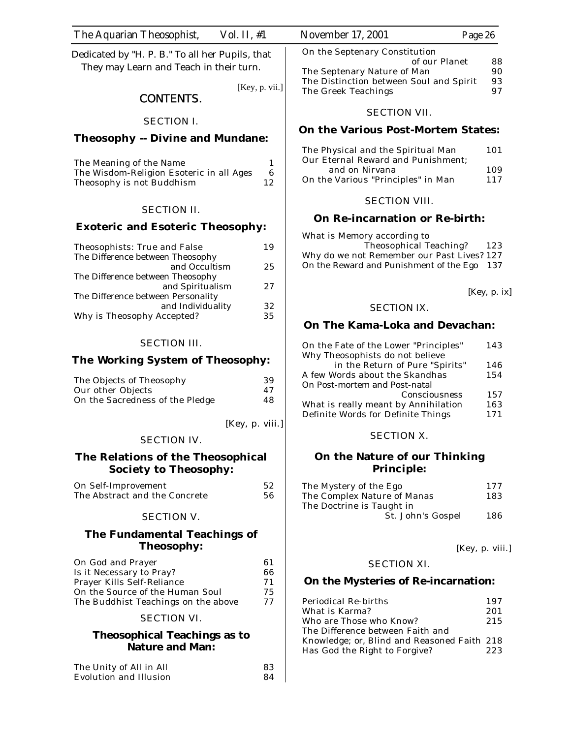| The Aquarian Theosophist,                                                                        | Vol. 11, #1     | November 17, 2001                                                                          | Page 26         |
|--------------------------------------------------------------------------------------------------|-----------------|--------------------------------------------------------------------------------------------|-----------------|
| Dedicated by "H. P. B." To all her Pupils, that                                                  |                 | On the Septenary Constitution<br>of our Planet                                             | 88              |
| They may Learn and Teach in their turn.                                                          |                 | The Septenary Nature of Man                                                                | 90              |
| <b>CONTENTS.</b>                                                                                 | [Key, p. vii.]  | The Distinction between Soul and Spirit<br>The Greek Teachings                             | 93<br>97        |
|                                                                                                  |                 | <b>SECTION VII.</b>                                                                        |                 |
| <b>SECTION I.</b>                                                                                |                 | <b>On the Various Post-Mortem States:</b>                                                  |                 |
| <b>Theosophy -- Divine and Mundane:</b>                                                          |                 | The Physical and the Spiritual Man                                                         | 101             |
| The Meaning of the Name<br>The Wisdom-Religion Esoteric in all Ages<br>Theosophy is not Buddhism | 1<br>6<br>12    | Our Eternal Reward and Punishment;<br>and on Nirvana<br>On the Various "Principles" in Man | 109<br>117      |
|                                                                                                  |                 | <b>SECTION VIII.</b>                                                                       |                 |
| <b>SECTION II.</b>                                                                               |                 | On Re-incarnation or Re-birth:                                                             |                 |
| <b>Exoteric and Esoteric Theosophy:</b>                                                          |                 | What is Memory according to                                                                |                 |
| Theosophists: True and False                                                                     | 19              | <b>Theosophical Teaching?</b>                                                              | 123             |
| The Difference between Theosophy<br>and Occultism                                                | 25              | Why do we not Remember our Past Lives? 127<br>On the Reward and Punishment of the Ego      | 137             |
| The Difference between Theosophy                                                                 |                 |                                                                                            |                 |
| and Spiritualism<br>The Difference between Personality                                           | 27              |                                                                                            | [Key, p. ix]    |
| and Individuality<br>Why is Theosophy Accepted?                                                  | 32<br>35        | <b>SECTION IX.</b>                                                                         |                 |
|                                                                                                  |                 | On The Kama-Loka and Devachan:                                                             |                 |
| <b>SECTION III.</b>                                                                              |                 | On the Fate of the Lower "Principles"                                                      | 143             |
| The Working System of Theosophy:                                                                 |                 | Why Theosophists do not believe<br>in the Return of Pure "Spirits"                         | 146             |
| The Objects of Theosophy                                                                         | 39              | A few Words about the Skandhas                                                             | 154             |
| Our other Objects                                                                                | 47              | On Post-mortem and Post-natal<br><b>Consciousness</b>                                      | 157             |
| On the Sacredness of the Pledge                                                                  | 48              | What is really meant by Annihilation                                                       | 163             |
|                                                                                                  | [Key, p. viii.] | Definite Words for Definite Things                                                         | 171             |
| <b>SECTION IV.</b>                                                                               |                 | <b>SECTION X.</b>                                                                          |                 |
| The Relations of the Theosophical                                                                |                 | On the Nature of our Thinking                                                              |                 |
| <b>Society to Theosophy:</b>                                                                     |                 | <b>Principle:</b>                                                                          |                 |
| On Self-Improvement                                                                              | 52              | The Mystery of the Ego                                                                     | 177             |
| The Abstract and the Concrete                                                                    | 56              | The Complex Nature of Manas                                                                | 183             |
| <b>SECTION V.</b>                                                                                |                 | The Doctrine is Taught in<br>St. John's Gospel                                             | 186             |
| The Fundamental Teachings of                                                                     |                 |                                                                                            |                 |
| Theosophy:                                                                                       |                 |                                                                                            | [Key, p. viii.] |
| On God and Prayer                                                                                | 61              | <b>SECTION XI.</b>                                                                         |                 |
| Is it Necessary to Pray?<br>Prayer Kills Self-Reliance                                           | 66<br>71        | On the Mysteries of Re-incarnation:                                                        |                 |
| On the Source of the Human Soul                                                                  | 75              |                                                                                            |                 |
| The Buddhist Teachings on the above                                                              | 77              | Periodical Re-births<br>What is Karma?                                                     | 197<br>201      |
| <b>SECTION VI.</b>                                                                               |                 | Who are Those who Know?                                                                    | 215             |
| Theosophical Togohings as to                                                                     |                 | The Difference between Faith and                                                           |                 |

Knowledge; or, Blind and Reasoned Faith 218 Has God the Right to Forgive? 223

#### **Theosophical Teachings as to Nature and Man:**

| The Unity of All in All | 83 |
|-------------------------|----|
| Evolution and Illusion  | 84 |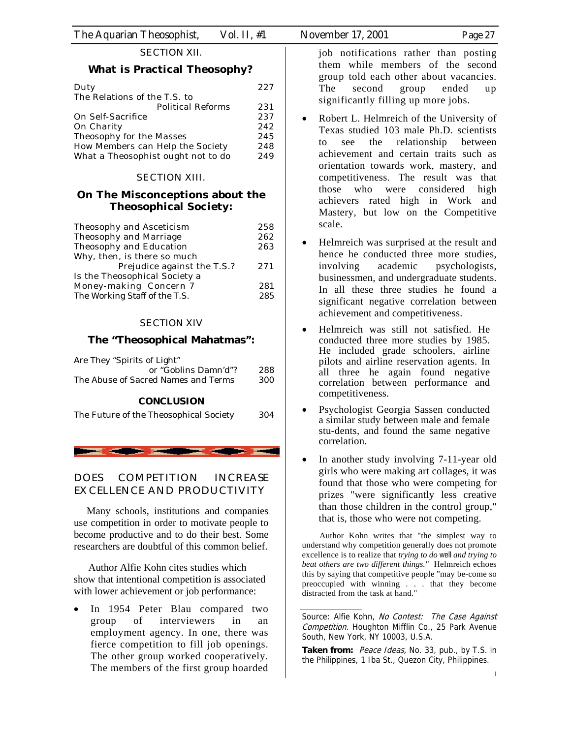#### SECTION XII.

#### **What is Practical Theosophy?**

| Duty                               | 2.2.7 |
|------------------------------------|-------|
| The Relations of the T.S. to       |       |
| <b>Political Reforms</b>           | 231   |
| On Self-Sacrifice                  | 237   |
| On Charity                         | 2.42  |
| Theosophy for the Masses           | 245   |
| How Members can Help the Society   | 248   |
| What a Theosophist ought not to do | 249   |

#### SECTION XIII.

#### **On The Misconceptions about the Theosophical Society:**

| Theosophy and Asceticism      | 258 |
|-------------------------------|-----|
| Theosophy and Marriage        | 262 |
| Theosophy and Education       | 263 |
| Why, then, is there so much   |     |
| Prejudice against the T.S.?   | 271 |
| Is the Theosophical Society a |     |
| Money-making Concern 7        | 281 |
| The Working Staff of the T.S. | 285 |

#### SECTION XIV

#### **The "Theosophical Mahatmas":**

| Are They "Spirits of Light" |  |
|-----------------------------|--|
|-----------------------------|--|

| or "Goblins Damn'd"?                | 288 |
|-------------------------------------|-----|
| The Abuse of Sacred Names and Terms | 300 |

#### **CONCLUSION**

The Future of the Theosophical Society 304

#### DOES COMPETITION INCREASE EXCELLENCE AND PRODUCTIVITY

 Many schools, institutions and companies use competition in order to motivate people to become productive and to do their best. Some researchers are doubtful of this common belief.

 Author Alfie Kohn cites studies which show that intentional competition is associated with lower achievement or job performance:

• In 1954 Peter Blau compared two group of interviewers in an employment agency. In one, there was fierce competition to fill job openings. The other group worked cooperatively. The members of the first group hoarded job notifications rather than posting them while members of the second group told each other about vacancies. The second group ended up significantly filling up more jobs.

- Robert L. Helmreich of the University of Texas studied 103 male Ph.D. scientists to see the relationship between achievement and certain traits such as orientation towards work, mastery, and competitiveness. The result was that those who were considered high achievers rated high in Work and Mastery, but low on the Competitive scale.
- Helmreich was surprised at the result and hence he conducted three more studies, involving academic psychologists, businessmen, and undergraduate students. In all these three studies he found a significant negative correlation between achievement and competitiveness.
- Helmreich was still not satisfied. He conducted three more studies by 1985. He included grade schoolers, airline pilots and airline reservation agents. In all three he again found negative correlation between performance and competitiveness.
- Psychologist Georgia Sassen conducted a similar study between male and female stu-dents, and found the same negative correlation.
- In another study involving 7-11-year old girls who were making art collages, it was found that those who were competing for prizes "were significantly less creative than those children in the control group," that is, those who were not competing.

Author Kohn writes that "the simplest way to understand why competition generally does not promote excellence is to realize that *trying to do* well *and trying to beat others are two different things."* Helmreich echoes this by saying that competitive people "may be-come so preoccupied with winning . . . that they become distracted from the task at hand."

 $\mathbf{I}$ 

Source: Alfie Kohn, No Contest: The Case Against Competition. Houghton Mifflin Co., 25 Park Avenue South, New York, NY 10003, U.S.A.

Taken from: Peace Ideas, No. 33, pub., by T.S. in the Philippines, 1 Iba St., Quezon City, Philippines.